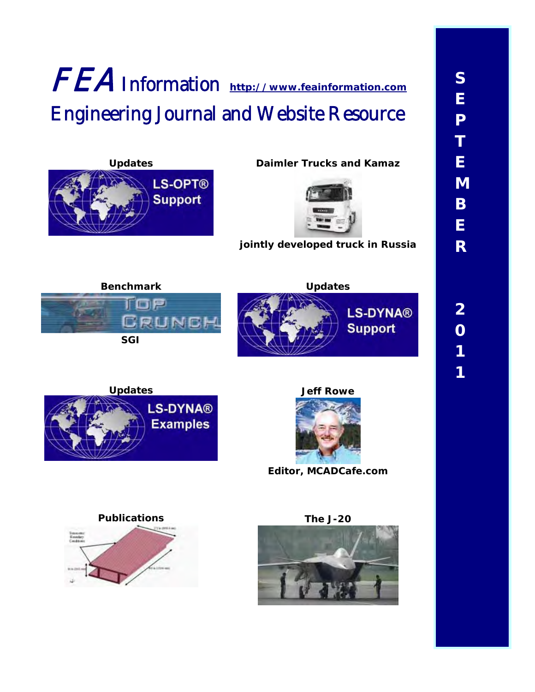# FEA Information **[http://www.feainformation.com](http://www.feainformation.com/)** Engineering Journal and Website Resource



**Updates Daimler Trucks and Kamaz** 



**jointly developed truck in Russia**







**Editor, MCADCafe.com** 



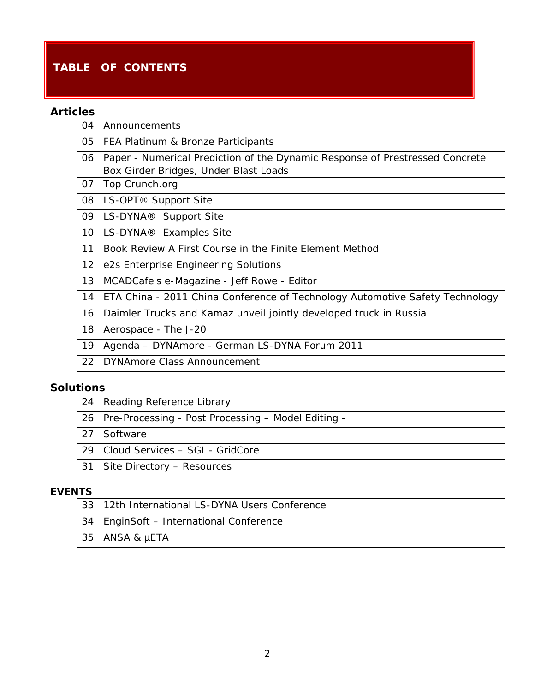### **TABLE OF CONTENTS**

### **Articles**

| 04 | Announcements                                                                |  |  |  |  |
|----|------------------------------------------------------------------------------|--|--|--|--|
| 05 | FEA Platinum & Bronze Participants                                           |  |  |  |  |
| 06 | Paper - Numerical Prediction of the Dynamic Response of Prestressed Concrete |  |  |  |  |
|    | Box Girder Bridges, Under Blast Loads                                        |  |  |  |  |
| 07 | Top Crunch.org                                                               |  |  |  |  |
| 08 | LS-OPT <sup>®</sup> Support Site                                             |  |  |  |  |
| 09 | LS-DYNA <sup>®</sup> Support Site                                            |  |  |  |  |
| 10 | LS-DYNA <sup>®</sup> Examples Site                                           |  |  |  |  |
| 11 | Book Review A First Course in the Finite Element Method                      |  |  |  |  |
| 12 | e2s Enterprise Engineering Solutions                                         |  |  |  |  |
| 13 | MCADCafe's e-Magazine - Jeff Rowe - Editor                                   |  |  |  |  |
| 14 | ETA China - 2011 China Conference of Technology Automotive Safety Technology |  |  |  |  |
| 16 | Daimler Trucks and Kamaz unveil jointly developed truck in Russia            |  |  |  |  |
| 18 | Aerospace - The J-20                                                         |  |  |  |  |
| 19 | Agenda - DYNAmore - German LS-DYNA Forum 2011                                |  |  |  |  |
| 22 | <b>DYNAmore Class Announcement</b>                                           |  |  |  |  |

### **Solutions**

|    | 24   Reading Reference Library                          |
|----|---------------------------------------------------------|
|    | 26   Pre-Processing - Post Processing – Model Editing - |
| 27 | Software                                                |
|    | 29   Cloud Services - SGI - GridCore                    |
| 31 | Site Directory - Resources                              |

### **EVENTS**

| 33   12th International LS-DYNA Users Conference |
|--------------------------------------------------|
| 34   EnginSoft - International Conference        |
| 35   ANSA & µETA                                 |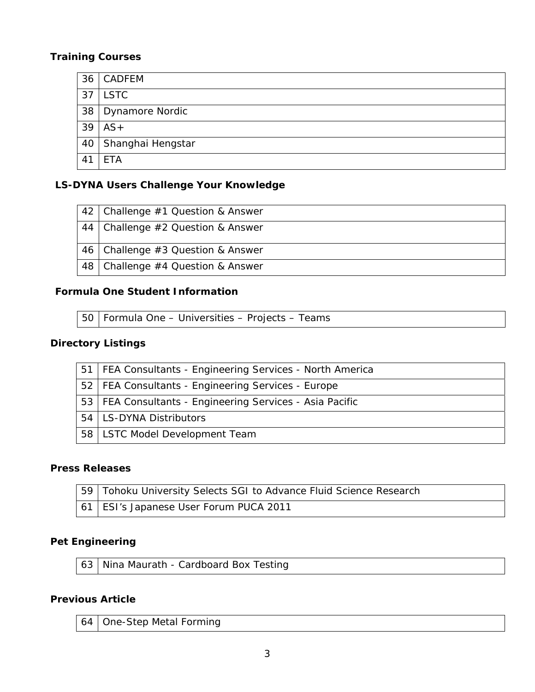|    | 36 CADFEM            |
|----|----------------------|
|    | $37$ LSTC            |
|    | 38   Dynamore Nordic |
|    | $39$   AS +          |
| 40 | Shanghai Hengstar    |
|    | <b>ETA</b>           |

### **LS-DYNA Users Challenge Your Knowledge**

|    | 42   Challenge #1 Question & Answer |
|----|-------------------------------------|
|    | 44 Challenge #2 Question & Answer   |
|    | 46   Challenge #3 Question & Answer |
| 48 | Challenge $#4$ Question & Answer    |

#### **Formula One Student Information**

50 Formula One – Universities – Projects – Teams

### **Directory Listings**

|                 | 51   FEA Consultants - Engineering Services - North America |
|-----------------|-------------------------------------------------------------|
|                 | 52   FEA Consultants - Engineering Services - Europe        |
|                 | 53   FEA Consultants - Engineering Services - Asia Pacific  |
|                 | 54   LS-DYNA Distributors                                   |
| 58 <sup>1</sup> | LSTC Model Development Team                                 |

#### **Press Releases**

| 59   Tohoku University Selects SGI to Advance Fluid Science Research |
|----------------------------------------------------------------------|
| 61   ESI's Japanese User Forum PUCA 2011                             |

### **Pet Engineering**

63 Nina Maurath - Cardboard Box Testing

#### **Previous Article**

64 One-Step Metal Forming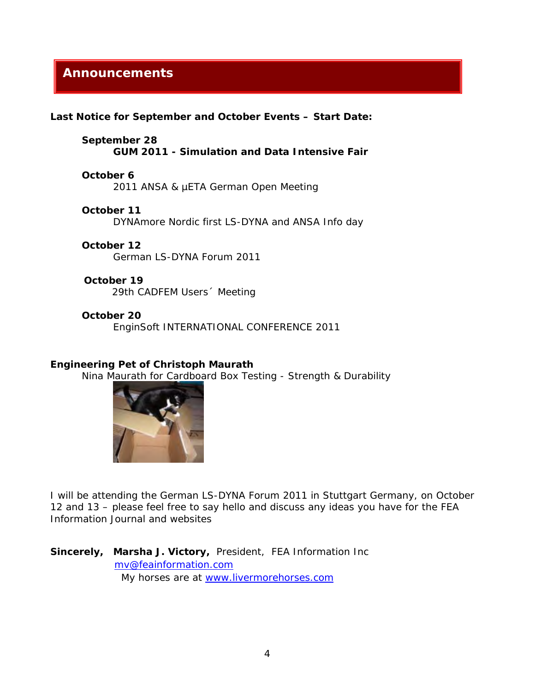### **Announcements**

**Last Notice for September and October Events – Start Date:** 

**September 28 GUM 2011 - Simulation and Data Intensive Fair** 

#### **October 6**

2011 ANSA & µETA German Open Meeting

**October 11**  DYNAmore Nordic first LS-DYNA and ANSA Info day

#### **October 12**

German LS-DYNA Forum 2011

#### **October 19**

29th CADFEM Users´ Meeting

#### **October 20**

EnginSoft INTERNATIONAL CONFERENCE 2011

#### **Engineering Pet of Christoph Maurath**

Nina Maurath for Cardboard Box Testing - Strength & Durability



I will be attending the German LS-DYNA Forum 2011 in Stuttgart Germany, on October 12 and 13 – please feel free to say hello and discuss any ideas you have for the FEA Information [Journal and websites](mailto:mv@feainformation.com) 

**Sincerely, Marsha J. Victory,** [President, FEA Informat](http://www.livermorehorses.com/)ion Inc mv@feainformation.com My horses are at www.livermorehorses.com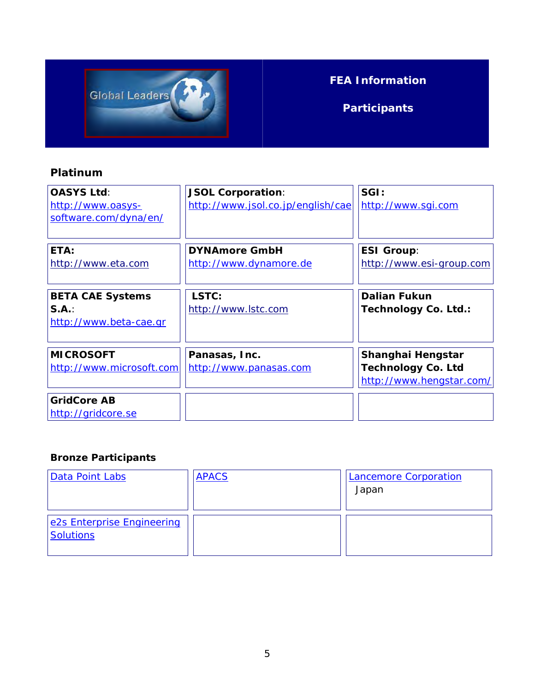

## **FEA Information**

**Participants**

### **Platinum**

| <b>OASYS Ltd:</b><br>http://www.oasys-<br>software.com/dyna/en/ | <b>JSOL Corporation:</b><br>http://www.jsol.co.jp/english/cae | SGI:<br>http://www.sgi.com                                                 |
|-----------------------------------------------------------------|---------------------------------------------------------------|----------------------------------------------------------------------------|
| ETA:<br>http://www.eta.com                                      | <b>DYNAmore GmbH</b><br>http://www.dynamore.de                | <b>ESI Group:</b><br>http://www.esi-group.com                              |
| <b>BETA CAE Systems</b><br>S.A.:<br>http://www.beta-cae.gr      | LSTC:<br>http://www.lstc.com                                  | <b>Dalian Fukun</b><br>Technology Co. Ltd.:                                |
| <b>MICROSOFT</b><br>http://www.microsoft.com                    | Panasas, Inc.<br>http://www.panasas.com                       | Shanghai Hengstar<br><b>Technology Co. Ltd</b><br>http://www.hengstar.com/ |
| <b>GridCore AB</b><br>http://gridcore.se                        |                                                               |                                                                            |

### **Bronze Participants**

| Data Point Labs                                | <b>APACS</b> | <b>Lancemore Corporation</b><br>Japan |
|------------------------------------------------|--------------|---------------------------------------|
| e2s Enterprise Engineering<br><b>Solutions</b> |              |                                       |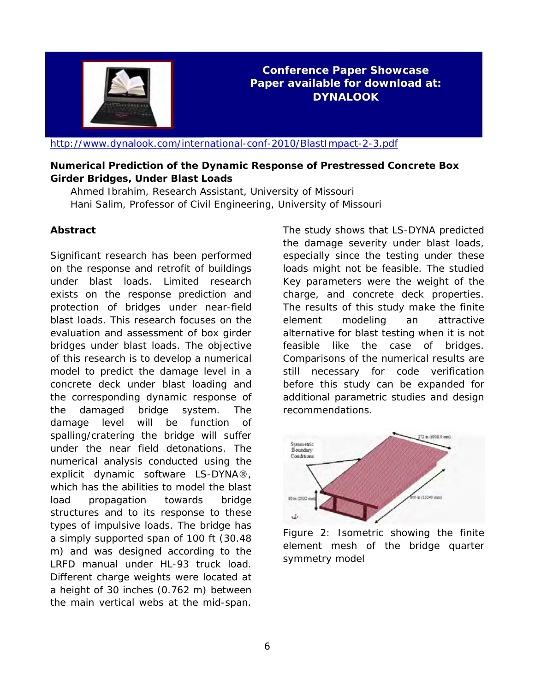

**Conference Paper Showcase Paper available for download at: DYNALOOK** 

<http://www.dynalook.com/international-conf-2010/BlastImpact-2-3.pdf>

#### **Numerical Prediction of the Dynamic Response of Prestressed Concrete Box Girder Bridges, Under Blast Loads**

 Ahmed Ibrahim, Research Assistant, University of Missouri Hani Salim, Professor of Civil Engineering, University of Missouri

#### **Abstract**

Significant research has been performed on the response and retrofit of buildings under blast loads. Limited research exists on the response prediction and protection of bridges under near-field blast loads. This research focuses on the evaluation and assessment of box girder bridges under blast loads. The objective of this research is to develop a numerical model to predict the damage level in a concrete deck under blast loading and the corresponding dynamic response of the damaged bridge system. The damage level will be function of spalling/cratering the bridge will suffer under the near field detonations. The numerical analysis conducted using the explicit dynamic software LS-DYNA®, which has the abilities to model the blast load propagation towards bridge structures and to its response to these types of impulsive loads. The bridge has a simply supported span of 100 ft (30.48 m) and was designed according to the LRFD manual under HL-93 truck load. Different charge weights were located at a height of 30 inches (0.762 m) between the main vertical webs at the mid-span.

The study shows that LS-DYNA predicted the damage severity under blast loads, especially since the testing under these loads might not be feasible. The studied Key parameters were the weight of the charge, and concrete deck properties. The results of this study make the finite element modeling an attractive alternative for blast testing when it is not feasible like the case of bridges. Comparisons of the numerical results are still necessary for code verification before this study can be expanded for additional parametric studies and design recommendations.



Figure 2: Isometric showing the finite element mesh of the bridge quarter symmetry model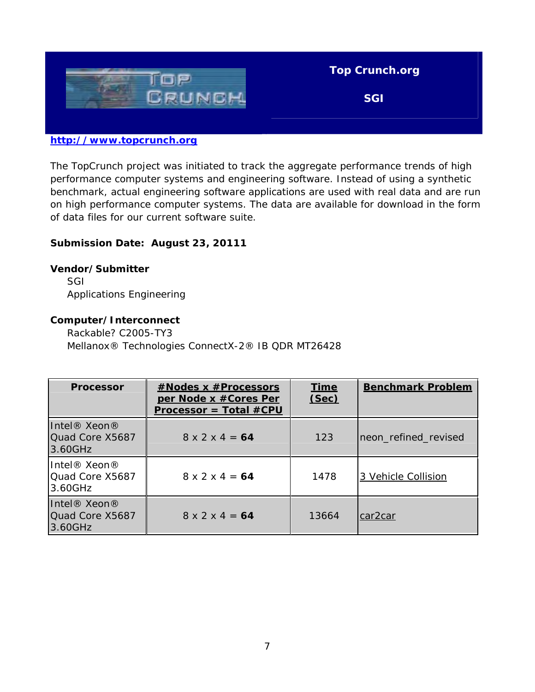

#### **[http://www.topcrunch.org](http://www.topcrunch.org/)**

The TopCrunch project was initiated to track the aggregate performance trends of high performance computer systems and engineering software. Instead of using a synthetic benchmark, actual engineering software applications are used with real data and are run on high performance computer systems. The data are available for download in the form of data files for our current software suite.

#### **Submission Date: August 23, 20111**

#### **Vendor/Submitter**

 SGI Applications Engineering

#### **Computer/Interconnect**

 Rackable? C2005-TY3 Mellanox® Technologies ConnectX-2® IB QDR MT26428

| <b>Processor</b>                                                   | #Nodes x #Processors<br>per Node x #Cores Per<br>$Processor = Total #CPU$ | <b>Time</b><br>(Sec) | <b>Benchmark Problem</b> |
|--------------------------------------------------------------------|---------------------------------------------------------------------------|----------------------|--------------------------|
| Intel® Xeon®<br>Quad Core X5687<br>13.60GHz                        | $8 \times 2 \times 4 = 64$                                                | 123                  | neon_refined_revised     |
| Intel <sup>®</sup> Xeon <sup>®</sup><br>Quad Core X5687<br>3.60GHz | $8 \times 2 \times 4 = 64$                                                | 1478                 | 3 Vehicle Collision      |
| Intel® Xeon®<br>Quad Core X5687<br> 3.60GHz                        | $8 \times 2 \times 4 = 64$                                                | 13664                | car <sub>2</sub> car     |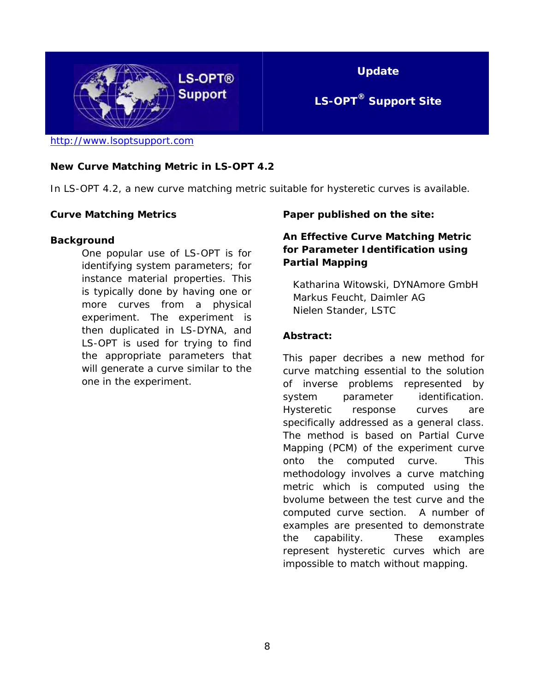

#### **New Curve Matching Metric in LS-OPT 4.2**

In LS-OPT 4.2, a new curve matching metric suitable for hysteretic curves is available.

#### **Curve Matching Metrics**

#### **Background**

One popular use of LS-OPT is for identifying system parameters; for instance material properties. This is typically done by having one or more curves from a physical experiment. The experiment is then duplicated in LS-DYNA, and LS-OPT is used for trying to find the appropriate parameters that will generate a curve similar to the one in the experiment.

#### **Paper published on the site:**

#### **An Effective Curve Matching Metric for Parameter Identification using Partial Mapping**

 Katharina Witowski, DYNAmore GmbH Markus Feucht, Daimler AG Nielen Stander, LSTC

#### **Abstract:**

This paper decribes a new method for curve matching essential to the solution of inverse problems represented by system parameter identification. Hysteretic response curves are specifically addressed as a general class. The method is based on Partial Curve Mapping (PCM) of the experiment curve onto the computed curve. This methodology involves a curve matching metric which is computed using the bvolume between the test curve and the computed curve section. A number of examples are presented to demonstrate the capability. These examples represent hysteretic curves which are impossible to match without mapping.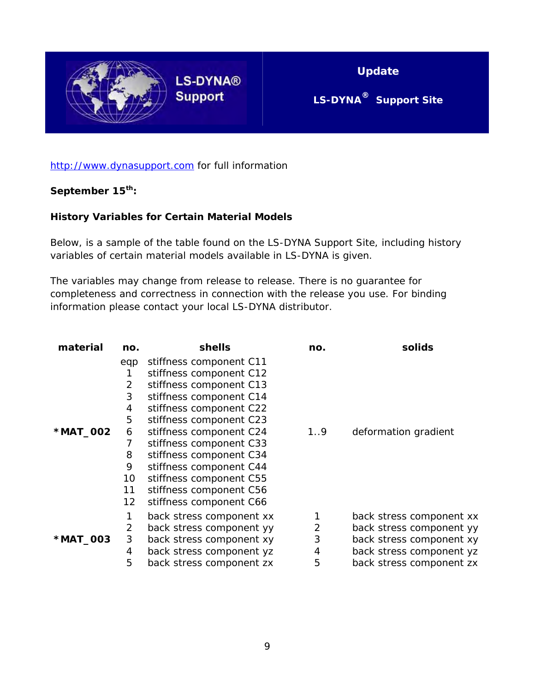

**Update** 

### **LS-DYNA® Support Site**

#### [http://www.dynasupport.com](http://www.dynasupport.com/) for full information

### **September 15th:**

#### **History Variables for Certain Material Models**

Below, is a sample of the table found on the LS-DYNA Support Site, including history variables of certain material models available in LS-DYNA is given.

The variables may change from release to release. There is no guarantee for completeness and correctness in connection with the release you use. For binding information please contact your local LS-DYNA distributor.

| material | no. | shells                   | no. | solids                   |
|----------|-----|--------------------------|-----|--------------------------|
|          | eqp | stiffness component C11  |     |                          |
|          | 1   | stiffness component C12  |     |                          |
|          | 2   | stiffness component C13  |     |                          |
|          | 3   | stiffness component C14  |     |                          |
|          | 4   | stiffness component C22  |     |                          |
|          | 5   | stiffness component C23  |     |                          |
| *MAT_002 | 6   | stiffness component C24  | 1.9 | deformation gradient     |
|          |     | stiffness component C33  |     |                          |
|          | 8   | stiffness component C34  |     |                          |
|          | 9   | stiffness component C44  |     |                          |
|          | 10  | stiffness component C55  |     |                          |
|          | 11  | stiffness component C56  |     |                          |
|          | 12  | stiffness component C66  |     |                          |
|          | 1   | back stress component xx |     | back stress component xx |
|          | 2   | back stress component yy | 2   | back stress component yy |
| *MAT_003 | 3   | back stress component xy | 3   | back stress component xy |
|          | 4   | back stress component yz | 4   | back stress component yz |
|          | 5   | back stress component zx | 5   | back stress component zx |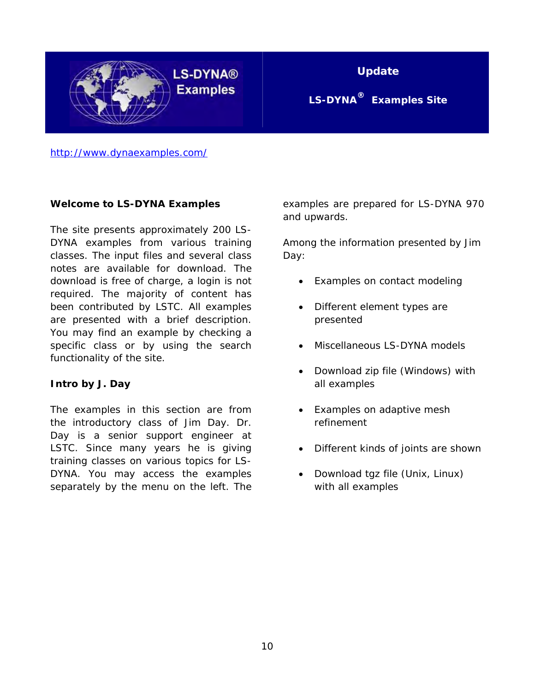

**LS-DYNA® Examples** 

**Update** 

**LS-DYNA® Examples Site** 

<http://www.dynaexamples.com/>

#### **Welcome to LS-DYNA Examples**

The site presents approximately 200 LS-DYNA examples from various training classes. The input files and several class notes are available for download. The download is free of charge, a login is not required. The majority of content has been contributed by LSTC. All examples are presented with a brief description. You may find an example by checking a specific class or by using the search functionality of the site.

#### **Intro by J. Day**

The examples in this section are from the introductory class of Jim Day. Dr. Day is a senior support engineer at LSTC. Since many years he is giving training classes on various topics for LS-DYNA. You may access the examples separately by the menu on the left. The

examples are prepared for LS-DYNA 970 and upwards.

Among the information presented by Jim Day:

- Examples on contact modeling
- Different element types are presented
- Miscellaneous LS-DYNA models
- Download zip file (Windows) with all examples
- Examples on adaptive mesh refinement
- Different kinds of joints are shown
- Download tgz file (Unix, Linux) with all examples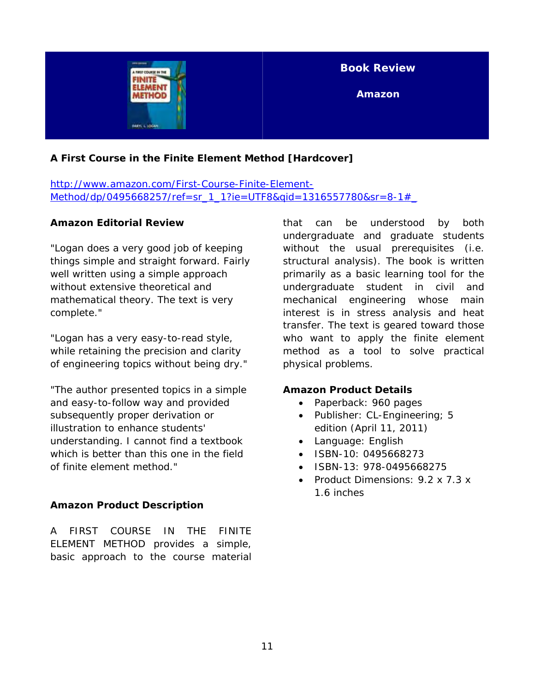

### **A First Course in the Finite Element Method [Hardcover]**

[http://www.amazon.com/First-Course-Finite-Element-](http://www.amazon.com/First-Course-Finite-Element-Method/dp/0495668257/ref=sr_1_1?ie=UTF8&qid=1316557780&sr=8-1#_)[Method/dp/0495668257/ref=sr\\_1\\_1?ie=UTF8&qid=1316557780&sr=8-1#\\_](http://www.amazon.com/First-Course-Finite-Element-Method/dp/0495668257/ref=sr_1_1?ie=UTF8&qid=1316557780&sr=8-1#_)

#### **Amazon Editorial Review**

"Logan does a very good job of keeping things simple and straight forward. Fairly well written using a simple approach without extensive theoretical and mathematical theory. The text is very complete."

"Logan has a very easy-to-read style, while retaining the precision and clarity of engineering topics without being dry."

"The author presented topics in a simple and easy-to-follow way and provided subsequently proper derivation or illustration to enhance students' understanding. I cannot find a textbook which is better than this one in the field of finite element method."

#### **Amazon Product Description**

A FIRST COURSE IN THE FINITE ELEMENT METHOD provides a simple, basic approach to the course material that can be understood by both undergraduate and graduate students without the usual prerequisites (i.e. structural analysis). The book is written primarily as a basic learning tool for the undergraduate student in civil and mechanical engineering whose main interest is in stress analysis and heat transfer. The text is geared toward those who want to apply the finite element method as a tool to solve practical physical problems.

#### **Amazon Product Details**

- Paperback: 960 pages
- Publisher: CL-Engineering; 5 edition (April 11, 2011)
- Language: English
- ISBN-10: 0495668273
- ISBN-13: 978-0495668275
- Product Dimensions: 9.2 x 7.3 x 1.6 inches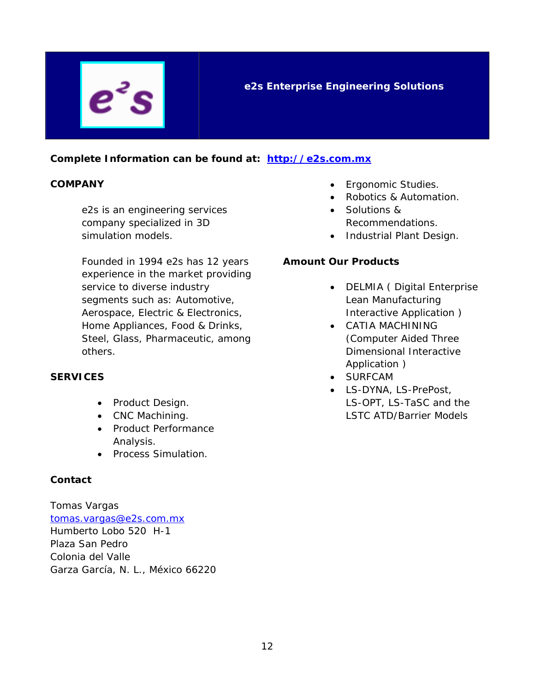#### **Complete Information can be found at: [http://e2s.com.mx](http://e2s.com.mx/)**

#### **COMPANY**

 $\boldsymbol{e}^z$ 

e2s is an engineering services company specialized in 3D simulation models.

Founded in 1994 e2s has 12 years experience in the market providing service to diverse industry segments such as: Automotive, Aerospace, Electric & Electronics, Home Appliances, Food & Drinks, Steel, Glass, Pharmaceutic, among others.

#### **SERVICES**

- Product Design.
- CNC Machining.
- Product Performance Analysis.
- Process Simulation.

#### **Contact**

Tomas Vargas [tomas.vargas@e2s.com.mx](mailto:tomas.vargas@e2s.com.mx) Humberto Lobo 520 H-1 Plaza San Pedro Colonia del Valle Garza García, N. L., México 66220

- Ergonomic Studies.
- Robotics & Automation.
- Solutions & Recommendations.
- Industrial Plant Design.

#### **Amount Our Products**

- DELMIA ( Digital Enterprise Lean Manufacturing Interactive Application )
- CATIA MACHINING (Computer Aided Three Dimensional Interactive Application )
- SURFCAM
- LS-DYNA, LS-PrePost, LS-OPT, LS-TaSC and the LSTC ATD/Barrier Models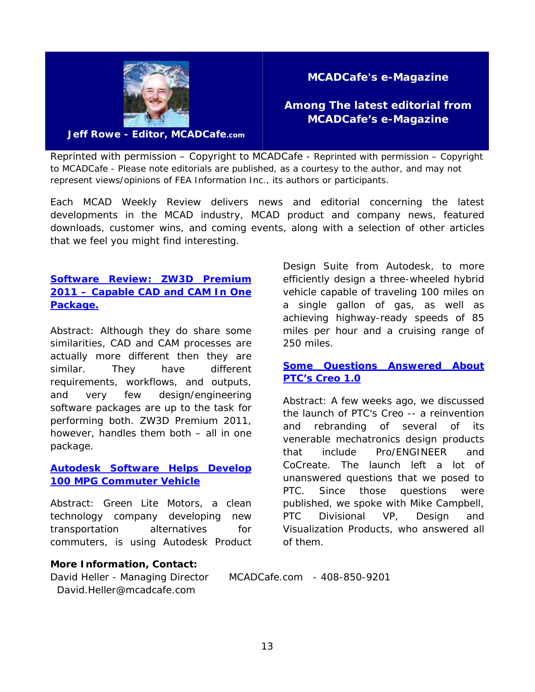

**MCADCafe's e-Magazine** 

**Among The latest editorial from MCADCafe's e-Magazine** 

**Jeff Rowe - Editor, MCADCafe.com** 

Reprinted with permission – Copyright to MCADCafe - *Reprinted with permission – Copyright to MCADCafe - Please note editorials are published, as a courtesy to the author, and may not represent views/opinions of FEA Information Inc., its authors or participants.* 

Each MCAD Weekly Review delivers news and editorial concerning the latest developments in the MCAD industry, MCAD product and company news, featured downloads, customer wins, and coming events, along with a selection of other articles that we feel you might find interesting.

### **[Software Review: ZW3D Premium](http://www10.mcadcafe.com/nbc/articles/view_weekly.php?articleid=1003529)  [2011 – Capable CAD and CAM In One](http://www10.mcadcafe.com/nbc/articles/view_weekly.php?articleid=1003529)  [Package.](http://www10.mcadcafe.com/nbc/articles/view_weekly.php?articleid=1003529)**

Abstract: Although they do share some similarities, CAD and CAM processes are actually more different then they are similar. They have different requirements, workflows, and outputs, and very few design/engineering software packages are up to the task for performing both. ZW3D Premium 2011, however, handles them both – all in one package.

#### **[Autodesk Software Helps Develop](http://www10.mcadcafe.com/nbc/articles/2/994821/Autodesk-Software-Helps-Develop-100-MPG-Commuter-Vehicle)  [100 MPG Commuter Vehicle](http://www10.mcadcafe.com/nbc/articles/2/994821/Autodesk-Software-Helps-Develop-100-MPG-Commuter-Vehicle)**

Abstract: Green Lite Motors, a clean technology company developing new transportation alternatives for commuters, is using Autodesk Product

#### **More Information, Contact:**

David Heller - Managing Director MCADCafe.com - 408-850-9201 David.Heller@mcadcafe.com

Design Suite from Autodesk, to more efficiently design a three-wheeled hybrid vehicle capable of traveling 100 miles on a single gallon of gas, as well as achieving highway-ready speeds of 85 miles per hour and a cruising range of 250 miles.

#### **[Some Questions Answered About](http://www10.mcadcafe.com/nbc/articles/2/982509/Some-Questions-Answered-About-PTCs-Creo-1.0)  [PTC's Creo 1.0](http://www10.mcadcafe.com/nbc/articles/2/982509/Some-Questions-Answered-About-PTCs-Creo-1.0)**

Abstract: A few weeks ago, we discussed the launch of PTC's Creo -- a reinvention and rebranding of several of its venerable mechatronics design products that include Pro/ENGINEER and CoCreate. The launch left a lot of unanswered questions that we posed to PTC. Since those questions were published, we spoke with Mike Campbell, PTC Divisional VP, Design and Visualization Products, who answered all of them.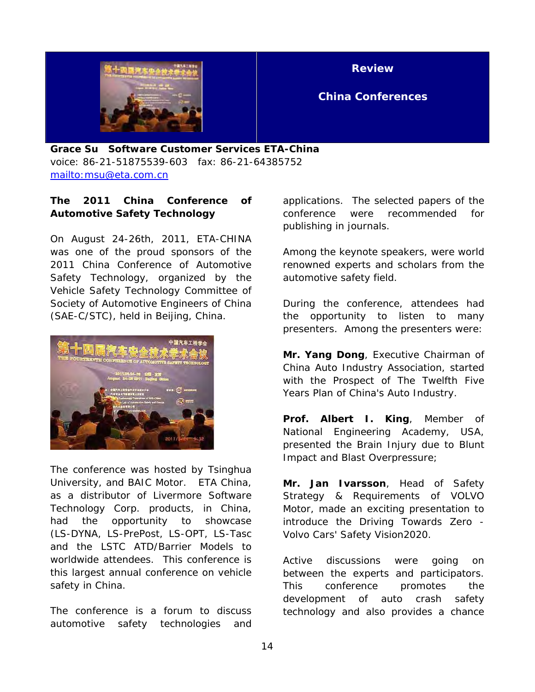

**Review** 

### **China Conferences**

**Grace Su Software Customer Services ETA-China**  voice: 86-21-51875539-603 fax: 86-21-64385752 <mailto:msu@eta.com.cn>

#### **The 2011 China Conference of Automotive Safety Technology**

On August 24-26th, 2011, ETA-CHINA was one of the proud sponsors of the 2011 China Conference of Automotive Safety Technology, organized by the Vehicle Safety Technology Committee of Society of Automotive Engineers of China (SAE-C/STC), held in Beijing, China.



The conference was hosted by Tsinghua University, and BAIC Motor. ETA China, as a distributor of Livermore Software Technology Corp. products, in China, had the opportunity to showcase (LS-DYNA, LS-PrePost, LS-OPT, LS-Tasc and the LSTC ATD/Barrier Models to worldwide attendees. This conference is this largest annual conference on vehicle safety in China.

The conference is a forum to discuss automotive safety technologies and applications. The selected papers of the conference were recommended for publishing in journals.

Among the keynote speakers, were world renowned experts and scholars from the automotive safety field.

During the conference, attendees had the opportunity to listen to many presenters. Among the presenters were:

**Mr. Yang Dong**, Executive Chairman of China Auto Industry Association, started with the Prospect of The Twelfth Five Years Plan of China's Auto Industry.

**Prof. Albert I. King**, Member of National Engineering Academy, USA, presented the Brain Injury due to Blunt Impact and Blast Overpressure;

**Mr. Jan Ivarsson**, Head of Safety Strategy & Requirements of VOLVO Motor, made an exciting presentation to introduce the Driving Towards Zero - Volvo Cars' Safety Vision2020.

Active discussions were going on between the experts and participators. This conference promotes the development of auto crash safety technology and also provides a chance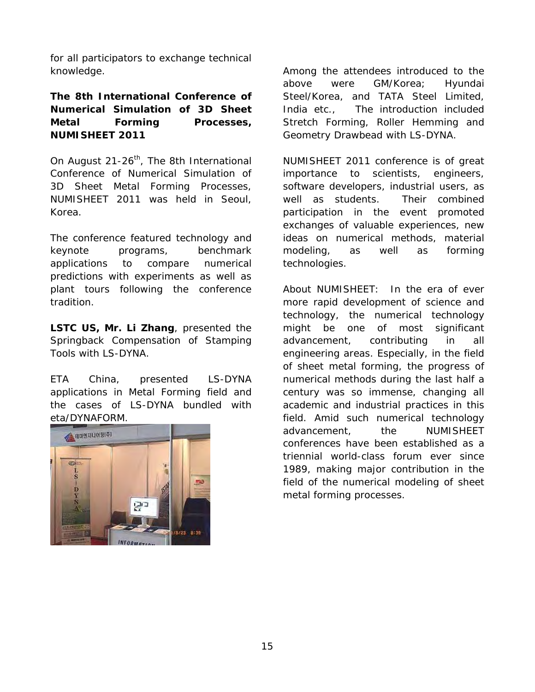for all participators to exchange technical knowledge.

#### **The 8th International Conference of Numerical Simulation of 3D Sheet Metal Forming Processes, NUMISHEET 2011**

On August 21-26<sup>th</sup>, The 8th International Conference of Numerical Simulation of 3D Sheet Metal Forming Processes, NUMISHEET 2011 was held in Seoul, Korea.

The conference featured technology and keynote programs, benchmark applications to compare numerical predictions with experiments as well as plant tours following the conference tradition.

**LSTC US, Mr. Li Zhang**, presented the Springback Compensation of Stamping Tools with LS-DYNA.

ETA China, presented LS-DYNA applications in Metal Forming field and the cases of LS-DYNA bundled with eta/DYNAFORM.



Among the attendees introduced to the above were GM/Korea; Hyundai Steel/Korea, and TATA Steel Limited, India etc., The introduction included Stretch Forming, Roller Hemming and Geometry Drawbead with LS-DYNA.

NUMISHEET 2011 conference is of great importance to scientists, engineers, software developers, industrial users, as well as students. Their combined participation in the event promoted exchanges of valuable experiences, new ideas on numerical methods, material modeling, as well as forming technologies.

About NUMISHEET: In the era of ever more rapid development of science and technology, the numerical technology might be one of most significant advancement, contributing in all engineering areas. Especially, in the field of sheet metal forming, the progress of numerical methods during the last half a century was so immense, changing all academic and industrial practices in this field. Amid such numerical technology advancement, the NUMISHEET conferences have been established as a triennial world-class forum ever since 1989, making major contribution in the field of the numerical modeling of sheet metal forming processes.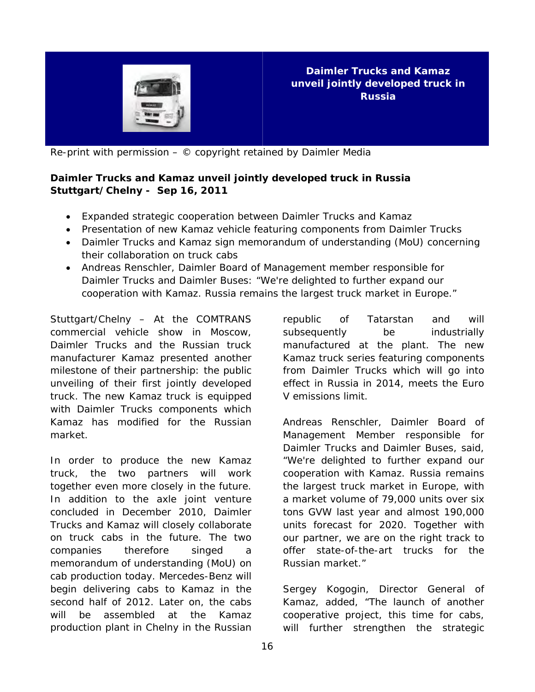

**Daimler Trucks and Kamaz unveil jointly developed truck in Russia** 

Re-print with permission – © copyright retained by Daimler Media

#### **Daimler Trucks and Kamaz unveil jointly developed truck in Russia Stuttgart/Chelny - Sep 16, 2011**

- Expanded strategic cooperation between Daimler Trucks and Kamaz
- Presentation of new Kamaz vehicle featuring components from Daimler Trucks
- Daimler Trucks and Kamaz sign memorandum of understanding (MoU) concerning their collaboration on truck cabs
- Andreas Renschler, Daimler Board of Management member responsible for Daimler Trucks and Daimler Buses: "We're delighted to further expand our cooperation with Kamaz. Russia remains the largest truck market in Europe."

Stuttgart/Chelny – At the COMTRANS commercial vehicle show in Moscow, Daimler Trucks and the Russian truck manufacturer Kamaz presented another milestone of their partnership: the public unveiling of their first jointly developed truck. The new Kamaz truck is equipped with Daimler Trucks components which Kamaz has modified for the Russian market.

In order to produce the new Kamaz truck, the two partners will work together even more closely in the future. In addition to the axle joint venture concluded in December 2010, Daimler Trucks and Kamaz will closely collaborate on truck cabs in the future. The two companies therefore singed a memorandum of understanding (MoU) on cab production today. Mercedes-Benz will begin delivering cabs to Kamaz in the second half of 2012. Later on, the cabs will be assembled at the Kamaz production plant in Chelny in the Russian republic of Tatarstan and will subsequently be industrially manufactured at the plant. The new Kamaz truck series featuring components from Daimler Trucks which will go into effect in Russia in 2014, meets the Euro V emissions limit.

Andreas Renschler, Daimler Board of Management Member responsible for Daimler Trucks and Daimler Buses, said, "We're delighted to further expand our cooperation with Kamaz. Russia remains the largest truck market in Europe, with a market volume of 79,000 units over six tons GVW last year and almost 190,000 units forecast for 2020. Together with our partner, we are on the right track to offer state-of-the-art trucks for the Russian market."

Sergey Kogogin, Director General of Kamaz, added, "The launch of another cooperative project, this time for cabs, will further strengthen the strategic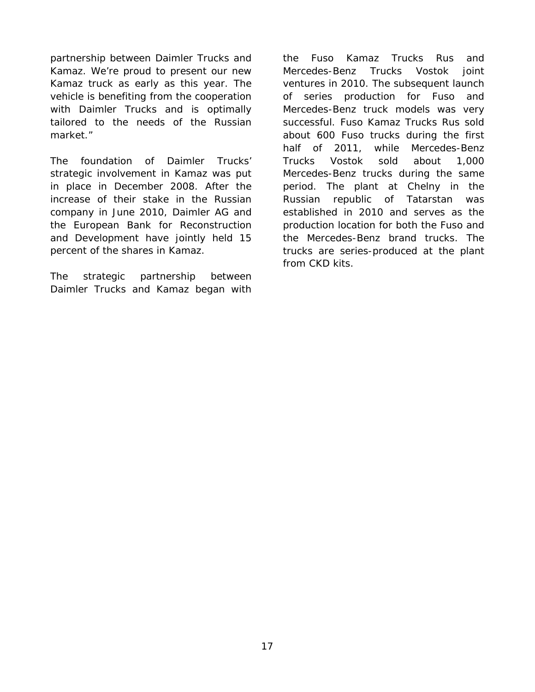partnership between Daimler Trucks and Kamaz. We're proud to present our new Kamaz truck as early as this year. The vehicle is benefiting from the cooperation with Daimler Trucks and is optimally tailored to the needs of the Russian market."

The foundation of Daimler Trucks' strategic involvement in Kamaz was put in place in December 2008. After the increase of their stake in the Russian company in June 2010, Daimler AG and the European Bank for Reconstruction and Development have jointly held 15 percent of the shares in Kamaz.

The strategic partnership between Daimler Trucks and Kamaz began with the Fuso Kamaz Trucks Rus and Mercedes-Benz Trucks Vostok joint ventures in 2010. The subsequent launch of series production for Fuso and Mercedes-Benz truck models was very successful. Fuso Kamaz Trucks Rus sold about 600 Fuso trucks during the first half of 2011, while Mercedes-Benz Trucks Vostok sold about 1,000 Mercedes-Benz trucks during the same period. The plant at Chelny in the Russian republic of Tatarstan was established in 2010 and serves as the production location for both the Fuso and the Mercedes-Benz brand trucks. The trucks are series-produced at the plant from CKD kits.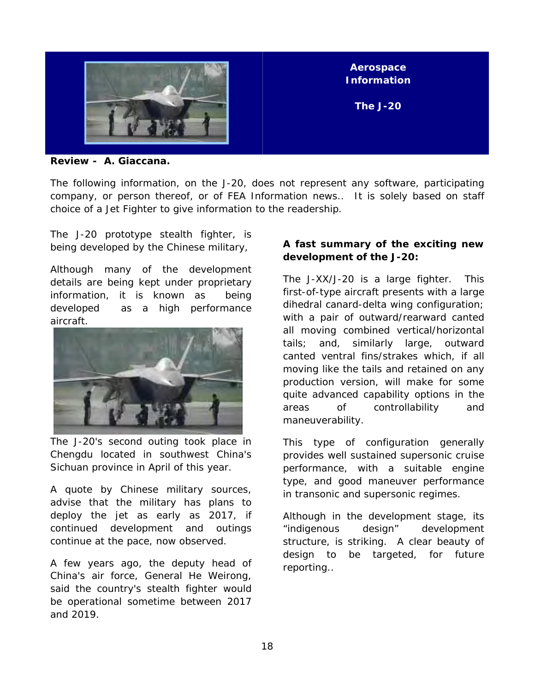

**Review - A. Giaccana.** 

The following information, on the J-20, does not represent any software, participating company, or person thereof, or of FEA Information news.. It is solely based on staff choice of a Jet Fighter to give information to the readership.

The J-20 prototype stealth fighter, is being developed by the Chinese military,

Although many of the development details are being kept under proprietary information, it is known as being developed as a high performance aircraft.



The J-20's second outing took place in Chengdu located in southwest China's Sichuan province in April of this year.

A quote by Chinese military sources, advise that the military has plans to deploy the jet as early as 2017, if continued development and outings continue at the pace, now observed.

A few years ago, the deputy head of China's air force, General He Weirong, said the country's stealth fighter would be operational sometime between 2017 and 2019.

#### **A fast summary of the exciting new development of the J-20:**

The J-XX/J-20 is a large fighter. This first-of-type aircraft presents with a large dihedral canard-delta wing configuration; with a pair of outward/rearward canted all moving combined vertical/horizontal tails; and, similarly large, outward canted ventral fins/strakes which, if all moving like the tails and retained on any production version, will make for some quite advanced capability options in the areas of controllability and maneuverability.

This type of configuration generally provides well sustained supersonic cruise performance, with a suitable engine type, and good maneuver performance in transonic and supersonic regimes.

Although in the development stage, its "indigenous design" development structure, is striking. A clear beauty of design to be targeted, for future reporting..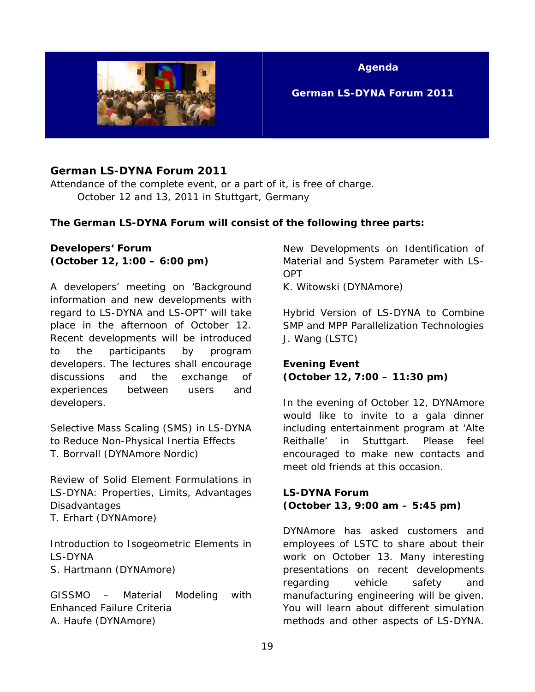

**Agenda** 

 **German LS-DYNA Forum 2011** 

#### **German LS-DYNA Forum 2011**

Attendance of the complete event, or a part of it, is free of charge. October 12 and 13, 2011 in Stuttgart, Germany

#### **The German LS-DYNA Forum will consist of the following three parts:**

#### **Developers' Forum (October 12, 1:00 – 6:00 pm)**

A developers' meeting on 'Background information and new developments with regard to LS-DYNA and LS-OPT' will take place in the afternoon of October 12. Recent developments will be introduced to the participants by program developers. The lectures shall encourage discussions and the exchange of experiences between users and developers.

*Selective Mass Scaling (SMS) in LS-DYNA to Reduce Non-Physical Inertia Effects*  T. Borrvall (DYNAmore Nordic)

*Review of Solid Element Formulations in LS-DYNA: Properties, Limits, Advantages Disadvantages*  T. Erhart (DYNAmore)

*Introduction to Isogeometric Elements in LS-DYNA*  S. Hartmann (DYNAmore)

*GISSMO – Material Modeling with Enhanced Failure Criteria*  A. Haufe (DYNAmore)

*New Developments on Identification of Material and System Parameter with LS-OPT* 

K. Witowski (DYNAmore)

*Hybrid Version of LS-DYNA to Combine SMP and MPP Parallelization Technologies*  J. Wang (LSTC)

#### **Evening Event (October 12, 7:00 – 11:30 pm)**

In the evening of October 12, DYNAmore would like to invite to a gala dinner including entertainment program at 'Alte Reithalle' in Stuttgart. Please feel encouraged to make new contacts and meet old friends at this occasion.

#### **LS-DYNA Forum (October 13, 9:00 am – 5:45 pm)**

DYNAmore has asked customers and employees of LSTC to share about their work on October 13. Many interesting presentations on recent developments regarding vehicle safety and manufacturing engineering will be given. You will learn about different simulation methods and other aspects of LS-DYNA.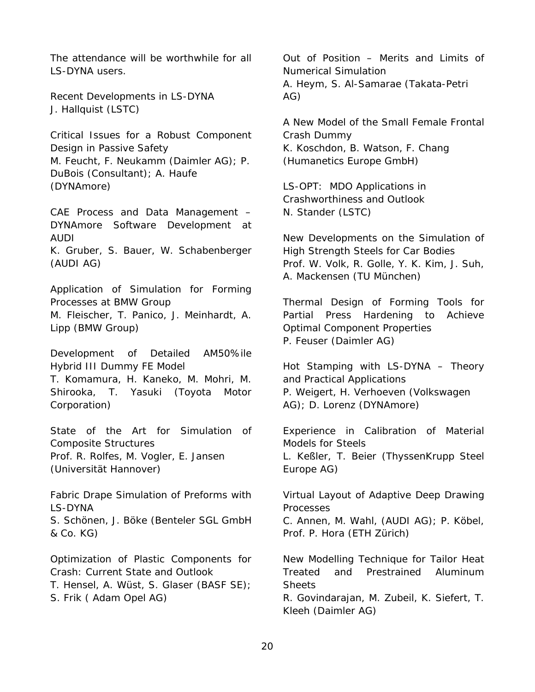The attendance will be worthwhile for all LS-DYNA users.

*Recent Developments in LS-DYNA*  J. Hallquist (LSTC)

*Critical Issues for a Robust Component Design in Passive Safety*  M. Feucht, F. Neukamm (Daimler AG); P. DuBois (Consultant); A. Haufe (DYNAmore)

*CAE Process and Data Management – DYNAmore Software Development at AUDI*  K. Gruber, S. Bauer, W. Schabenberger (AUDI AG)

*Application of Simulation for Forming Processes at BMW Group*  M. Fleischer, T. Panico, J. Meinhardt, A. Lipp (BMW Group)

*Development of Detailed AM50%ile Hybrid III Dummy FE Model* 

T. Komamura, H. Kaneko, M. Mohri, M. Shirooka, T. Yasuki (Toyota Motor Corporation)

*State of the Art for Simulation of Composite Structures*  Prof. R. Rolfes, M. Vogler, E. Jansen (Universität Hannover)

*Fabric Drape Simulation of Preforms with LS-DYNA*  S. Schönen, J. Böke (Benteler SGL GmbH & Co. KG)

*Optimization of Plastic Components for Crash: Current State and Outlook*  T. Hensel, A. Wüst, S. Glaser (BASF SE); S. Frik ( Adam Opel AG)

Out of Position – Merits and Limits of Numerical Simulation A. Heym, S. Al-Samarae (Takata-Petri AG)

*A New Model of the Small Female Frontal Crash Dummy*  K. Koschdon, B. Watson, F. Chang (Humanetics Europe GmbH)

*LS-OPT: MDO Applications in Crashworthiness and Outlook*  N. Stander (LSTC)

*New Developments on the Simulation of High Strength Steels for Car Bodies*  Prof. W. Volk, R. Golle, Y. K. Kim, J. Suh, A. Mackensen (TU München)

*Thermal Design of Forming Tools for Partial Press Hardening to Achieve Optimal Component Properties*  P. Feuser (Daimler AG)

*Hot Stamping with LS-DYNA – Theory and Practical Applications*  P. Weigert, H. Verhoeven (Volkswagen AG); D. Lorenz (DYNAmore)

*Experience in Calibration of Material Models for Steels*  L. Keßler, T. Beier (ThyssenKrupp Steel Europe AG)

*Virtual Layout of Adaptive Deep Drawing Processes* 

C. Annen, M. Wahl, (AUDI AG); P. Köbel, Prof. P. Hora (ETH Zürich)

*New Modelling Technique for Tailor Heat Treated and Prestrained Aluminum Sheets*  R. Govindarajan, M. Zubeil, K. Siefert, T. Kleeh (Daimler AG)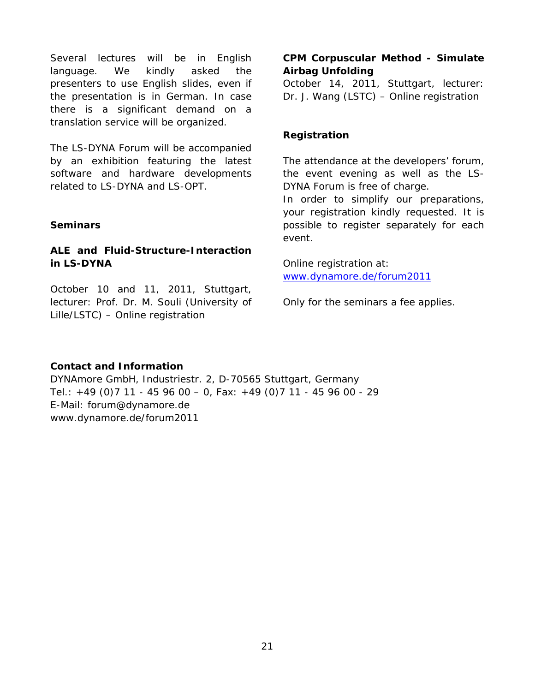Several lectures will be in English language. We kindly asked the presenters to use English slides, even if the presentation is in German. In case there is a significant demand on a translation service will be organized.

The LS-DYNA Forum will be accompanied by an exhibition featuring the latest software and hardware developments related to LS-DYNA and LS-OPT.

#### **Seminars**

#### **ALE and Fluid-Structure-Interaction in LS-DYNA**

October 10 and 11, 2011, Stuttgart, lecturer: Prof. Dr. M. Souli (University of Lille/LSTC) – Online registration

#### **CPM Corpuscular Method - Simulate Airbag Unfolding**

October 14, 2011, Stuttgart, lecturer: Dr. J. Wang (LSTC) – Online registration

#### **Registration**

The attendance at the developers' forum, the event evening as well as the LS-DYNA Forum is free of charge.

In order to simplify our preparations, your registration kindly requested. It is possible to register separately for each event.

Online registration at: [www.dynamore.de/forum2011](http://www.dynamore.de/forum2011) 

Only for the seminars a fee applies.

#### **Contact and Information**

DYNAmore GmbH, Industriestr. 2, D-70565 Stuttgart, Germany Tel.: +49 (0)7 11 - 45 96 00 – 0, Fax: +49 (0)7 11 - 45 96 00 - 29 E-Mail: forum@dynamore.de www.dynamore.de/forum2011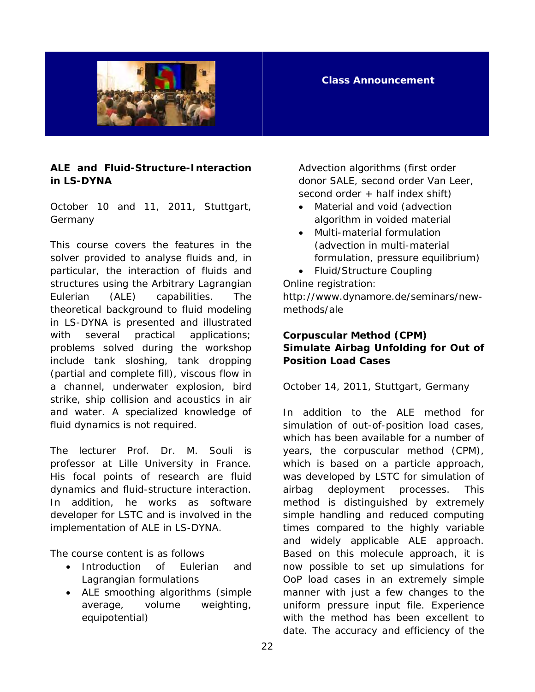

#### **Class Announcement**

#### **ALE and Fluid-Structure-Interaction in LS-DYNA**

October 10 and 11, 2011, Stuttgart, Germany

This course covers the features in the solver provided to analyse fluids and, in particular, the interaction of fluids and structures using the Arbitrary Lagrangian Eulerian (ALE) capabilities. The theoretical background to fluid modeling in LS-DYNA is presented and illustrated with several practical applications; problems solved during the workshop include tank sloshing, tank dropping (partial and complete fill), viscous flow in a channel, underwater explosion, bird strike, ship collision and acoustics in air and water. A specialized knowledge of fluid dynamics is not required.

The lecturer Prof. Dr. M. Souli is professor at Lille University in France. His focal points of research are fluid dynamics and fluid-structure interaction. In addition, he works as software developer for LSTC and is involved in the implementation of ALE in LS-DYNA.

The course content is as follows

- Introduction of Eulerian and Lagrangian formulations
- ALE smoothing algorithms (simple average, volume weighting, equipotential)

Advection algorithms (first order donor SALE, second order Van Leer, second order + half index shift)

- Material and void (advection algorithm in voided material
- Multi-material formulation (advection in multi-material formulation, pressure equilibrium)
- Fluid/Structure Coupling

Online registration:

http://www.dynamore.de/seminars/newmethods/ale

#### **Corpuscular Method (CPM) Simulate Airbag Unfolding for Out of Position Load Cases**

October 14, 2011, Stuttgart, Germany

In addition to the ALE method for simulation of out-of-position load cases, which has been available for a number of years, the corpuscular method (CPM), which is based on a particle approach, was developed by LSTC for simulation of airbag deployment processes. This method is distinguished by extremely simple handling and reduced computing times compared to the highly variable and widely applicable ALE approach. Based on this molecule approach, it is now possible to set up simulations for OoP load cases in an extremely simple manner with just a few changes to the uniform pressure input file. Experience with the method has been excellent to date. The accuracy and efficiency of the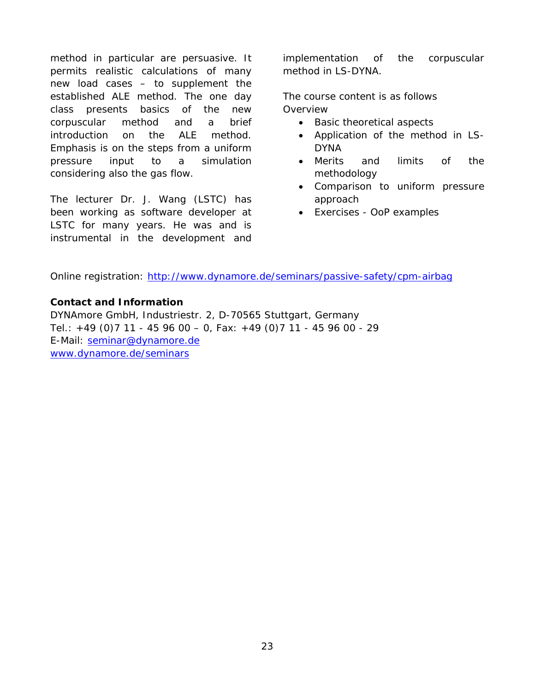method in particular are persuasive. It permits realistic calculations of many new load cases – to supplement the established ALE method. The one day class presents basics of the new corpuscular method and a brief introduction on the ALE method. Emphasis is on the steps from a uniform pressure input to a simulation considering also the gas flow.

The lecturer Dr. J. Wang (LSTC) has been working as software developer at LSTC for many years. He was and is instrumental in the development and implementation of the corpuscular method in LS-DYNA.

The course content is as follows **Overview** 

- Basic theoretical aspects
- Application of the method in LS-DYNA
- Merits and limits of the methodology
- Comparison to uniform pressure approach
- Exercises OoP examples

Online registration: <http://www.dynamore.de/seminars/passive-safety/cpm-airbag>

#### **Contact and Information**

DYNAmore GmbH, Industriestr. 2, D-70565 Stuttgart, Germany Tel.: +49 (0)7 11 - 45 96 00 – 0, Fax: +49 (0)7 11 - 45 96 00 - 29 E-Mail: [seminar@dynamore.de](mailto:seminar@dynamore.de) [www.dynamore.de/seminars](http://www.dynamore.de/seminars)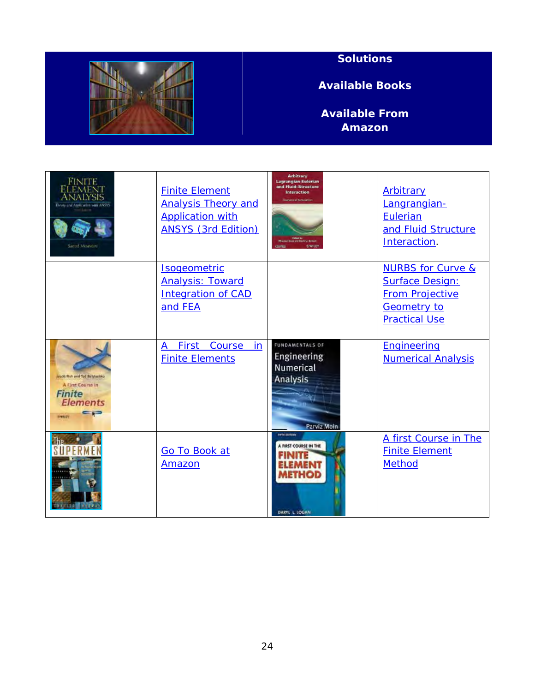

### **Solutions**

**Available Books** 

**Available From Amazon**

| <b>FINITE</b><br>Those and deplication was JASYS<br>Sured Mooverd                                                            | <b>Finite Element</b><br><b>Analysis Theory and</b><br><b>Application with</b><br><b>ANSYS (3rd Edition)</b> | <b>Arbitrary</b><br><b>Lagrangian-Eulerian</b><br>and Fluid-Structure<br><b>Interaction</b><br>sanical Simulatio<br>times<br><b>BANLIN</b> | Arbitrary<br>Langrangian-<br><b>Eulerian</b><br>and Fluid Structure<br>Interaction.                                            |
|------------------------------------------------------------------------------------------------------------------------------|--------------------------------------------------------------------------------------------------------------|--------------------------------------------------------------------------------------------------------------------------------------------|--------------------------------------------------------------------------------------------------------------------------------|
|                                                                                                                              | Isogeometric<br><b>Analysis: Toward</b><br><b>Integration of CAD</b><br>and FEA                              |                                                                                                                                            | <b>NURBS for Curve &amp;</b><br><b>Surface Design:</b><br><b>From Projective</b><br><b>Geometry to</b><br><b>Practical Use</b> |
| iscott Fish and Ted Betynenko<br>A First Course in<br><b>Finite</b><br><b>Elements</b><br>$=$ $\rightarrow$<br><b>Himsel</b> | First<br>Course<br>in<br>A<br><b>Finite Elements</b>                                                         | <b>FUNDAMENTALS OF</b><br>Engineering<br>Numerical<br>Analysis<br>Parviz Moin                                                              | Engineering<br><b>Numerical Analysis</b>                                                                                       |
|                                                                                                                              | Go To Book at<br>Amazon                                                                                      | <b>FOTO ELECTRIC</b><br>A FIRST COURSE IN THE<br><b>METHOD</b><br>DARYL L. LOGAN                                                           | A first Course in The<br><b>Finite Element</b><br><b>Method</b>                                                                |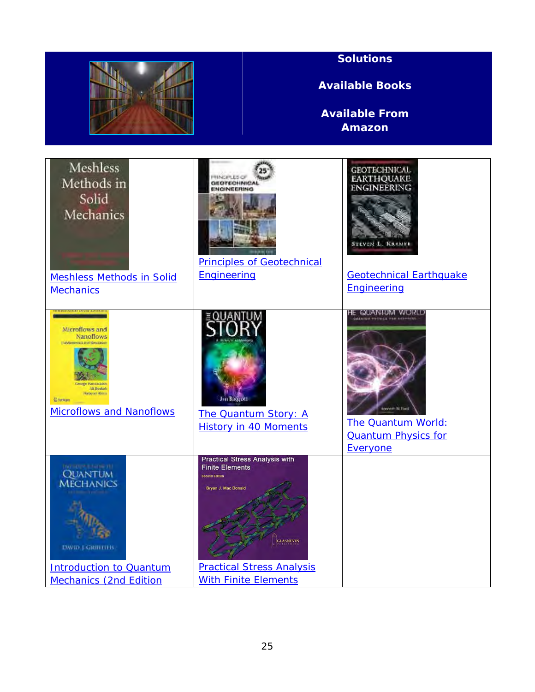|                                                                                                                                                                 |                                                                                                                                                                                                 | <b>Solutions</b><br><b>Available Books</b><br><b>Available From</b><br><b>Amazon</b>                                                |
|-----------------------------------------------------------------------------------------------------------------------------------------------------------------|-------------------------------------------------------------------------------------------------------------------------------------------------------------------------------------------------|-------------------------------------------------------------------------------------------------------------------------------------|
| Meshless<br>Methods in<br>Solid<br>Mechanics<br><b>Meshless Methods in Solid</b><br><b>Mechanics</b>                                                            | <b>GEOTECHNICAL</b><br>INGINEERING<br><b>Principles of Geotechnical</b><br>Engineering                                                                                                          | <b>GEOTECHNICAL</b><br><b>EARTHQUAKE</b><br>ENGINEERING<br><b>STEVEN L. KRAMER</b><br><b>Geotechnical Earthquake</b><br>Engineering |
| Microflows and<br>Nanoflows<br>Fundamentals and Similary<br><b>All Besho)</b><br><b>Naravust Aluxu</b><br><b>C</b> for Hotel<br><b>Microflows and Nanoflows</b> | Jim Baqquett<br>The Quantum Story: A<br><b>History in 40 Moments</b>                                                                                                                            | HE QUANFUM WORLI<br><b>Rocylett W. Flord</b><br><b>The Quantum World:</b><br><b>Quantum Physics for</b><br>Everyone                 |
| <b>INFORMATION TILE</b><br><b>QUANTUM</b><br><b>MECHANICS</b><br><b>DAVID J GRITITI'IS</b><br><b>Introduction to Quantum</b><br><b>Mechanics (2nd Edition</b>   | <b>Practical Stress Analysis with</b><br><b>Finite Elements</b><br>Second Edition<br>Bryan J. Mac Donald<br><b>GLASNEVIN</b><br><b>Practical Stress Analysis</b><br><b>With Finite Elements</b> |                                                                                                                                     |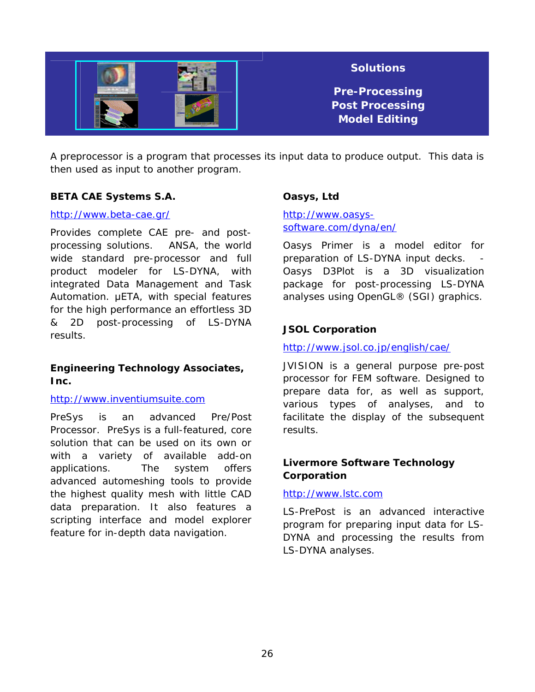

A preprocessor is a program that processes its input data to produce output. This data is then used as input to another program.

#### **BETA CAE Systems S.A.**

#### <http://www.beta-cae.gr/>

Provides complete CAE pre- and postprocessing solutions. ANSA, the world wide standard pre-processor and full product modeler for LS-DYNA, with integrated Data Management and Task Automation. μETA, with special features for the high performance an effortless 3D & 2D post-processing of LS-DYNA results.

#### **Engineering Technology Associates, Inc.**

#### [http://www.inventiumsuite.com](http://www.inventiumsuite.com/)

PreSys is an advanced Pre/Post Processor. PreSys is a full-featured, core solution that can be used on its own or with a variety of available add-on applications. The system offers advanced automeshing tools to provide the highest quality mesh with little CAD data preparation. It also features a scripting interface and model explorer feature for in-depth data navigation.

#### **Oasys, Ltd**

[http://www.oasys](http://www.oasys-software.com/dyna/en/)[software.com/dyna/en/](http://www.oasys-software.com/dyna/en/) 

Oasys Primer is a model editor for preparation of LS-DYNA input decks. Oasys D3Plot is a 3D visualization package for post-processing LS-DYNA analyses using OpenGL® (SGI) graphics.

#### **JSOL Corporation**

<http://www.jsol.co.jp/english/cae/>

JVISION is a general purpose pre-post processor for FEM software. Designed to prepare data for, as well as support, various types of analyses, and to facilitate the display of the subsequent results.

#### **Livermore Software Technology Corporation**

#### [http://www.lstc.com](http://www.lstc.com/)

LS-PrePost is an advanced interactive program for preparing input data for LS-DYNA and processing the results from LS-DYNA analyses.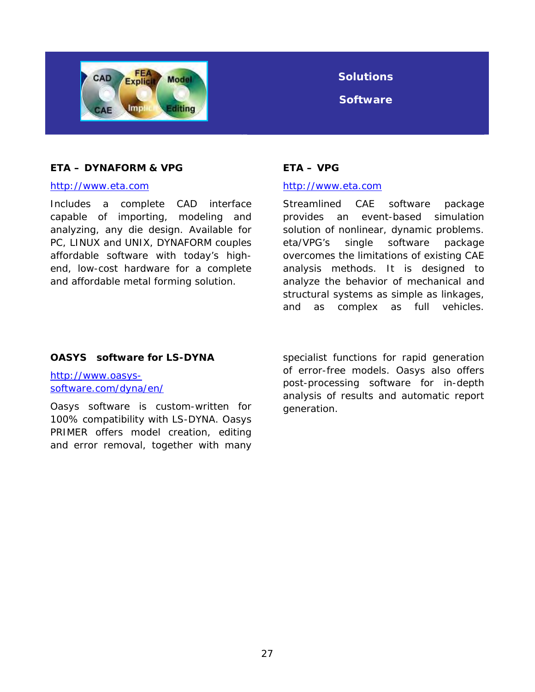

## **Solutions**

**Software** 

#### **ETA – DYNAFORM & VPG**

#### [http://www.eta.com](http://www.eta.com/)

Includes a complete CAD interface capable of importing, modeling and analyzing, any die design. Available for PC, LINUX and UNIX, DYNAFORM couples affordable software with today's highend, low-cost hardware for a complete and affordable metal forming solution.

#### **ETA – VPG**

#### [http://www.eta.com](http://www.eta.com/)

Streamlined CAE software package provides an event-based simulation solution of nonlinear, dynamic problems. eta/VPG's single software package overcomes the limitations of existing CAE analysis methods. It is designed to analyze the behavior of mechanical and structural systems as simple as linkages, and as complex as full vehicles.

#### **OASYS software for LS-DYNA**

[http://www.oasys](http://www.oasys-software.com/dyna/en/)[software.com/dyna/en/](http://www.oasys-software.com/dyna/en/) 

Oasys software is custom-written for 100% compatibility with LS-DYNA. Oasys PRIMER offers model creation, editing and error removal, together with many

specialist functions for rapid generation of error-free models. Oasys also offers post-processing software for in-depth analysis of results and automatic report generation.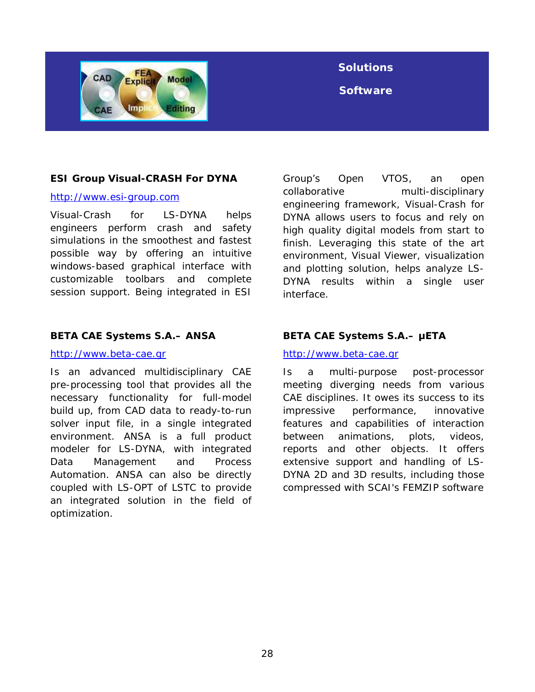

### **Solutions**

**Software** 

#### **ESI Group Visual-CRASH For DYNA**

#### [http://www.esi-group.com](http://www.esi-group.com/)

Visual-Crash for LS-DYNA helps engineers perform crash and safety simulations in the smoothest and fastest possible way by offering an intuitive windows-based graphical interface with customizable toolbars and complete session support. Being integrated in ESI

#### **BETA CAE Systems S.A.– ANSA**

#### [http://www.beta-cae.gr](http://www.beta-cae.gr/)

Is an advanced multidisciplinary CAE pre-processing tool that provides all the necessary functionality for full-model build up, from CAD data to ready-to-run solver input file, in a single integrated environment. ANSA is a full product modeler for LS-DYNA, with integrated Data Management and Process Automation. ANSA can also be directly coupled with LS-OPT of LSTC to provide an integrated solution in the field of optimization.

Group's Open VTOS, an open collaborative multi-disciplinary engineering framework, Visual-Crash for DYNA allows users to focus and rely on high quality digital models from start to finish. Leveraging this state of the art environment, Visual Viewer, visualization and plotting solution, helps analyze LS-DYNA results within a single user interface.

### **BETA CAE Systems S.A.– μETA**

#### [http://www.beta-cae.gr](http://www.beta-cae.gr/)

Is a multi-purpose post-processor meeting diverging needs from various CAE disciplines. It owes its success to its impressive performance, innovative features and capabilities of interaction between animations, plots, videos, reports and other objects. It offers extensive support and handling of LS-DYNA 2D and 3D results, including those compressed with SCAI's FEMZIP software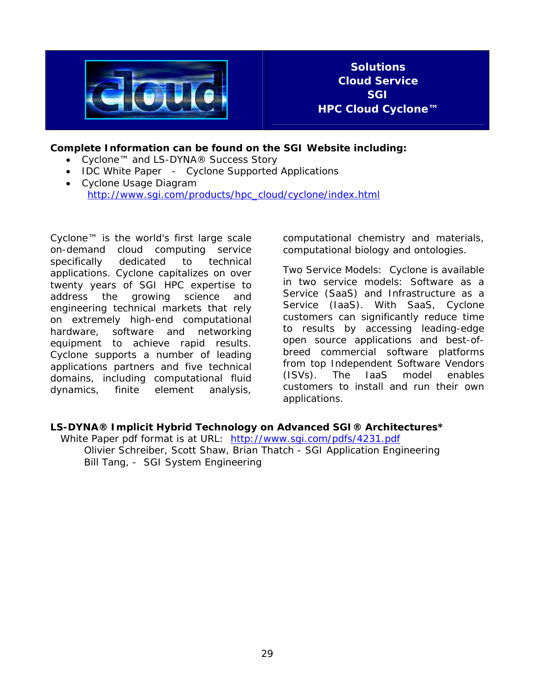

**Solutions Cloud Service SGI HPC Cloud Cyclone™** 

#### **Complete Information can be found on the SGI Website including:**

- Cyclone™ and LS-DYNA® Success Story
- IDC White Paper Cyclone Supported Applications
- Cyclone Usage Diagram [http://www.sgi.com/products/hpc\\_cloud/cyclone/index.html](http://www.sgi.com/products/hpc_cloud/cyclone/index.html)

Cyclone™ is the world's first large scale on-demand cloud computing service specifically dedicated to technical applications. Cyclone capitalizes on over twenty years of SGI HPC expertise to address the growing science and engineering technical markets that rely on extremely high-end computational hardware, software and networking equipment to achieve rapid results. Cyclone supports a number of leading applications partners and five technical domains, including computational fluid dynamics, finite element analysis,

computational chemistry and materials, computational biology and ontologies.

Two Service Models: Cyclone is available in two service models: Software as a Service (SaaS) and Infrastructure as a Service (IaaS). With SaaS, Cyclone customers can significantly reduce time to results by accessing leading-edge open source applications and best-ofbreed commercial software platforms from top Independent Software Vendors (ISVs). The IaaS model enables customers to install and run their own applications.

#### **LS-DYNA® Implicit Hybrid Technology on Advanced SGI® Architectures\***

White Paper pdf format is at URL: <http://www.sgi.com/pdfs/4231.pdf> Olivier Schreiber, Scott Shaw, Brian Thatch - SGI Application Engineering Bill Tang, - SGI System Engineering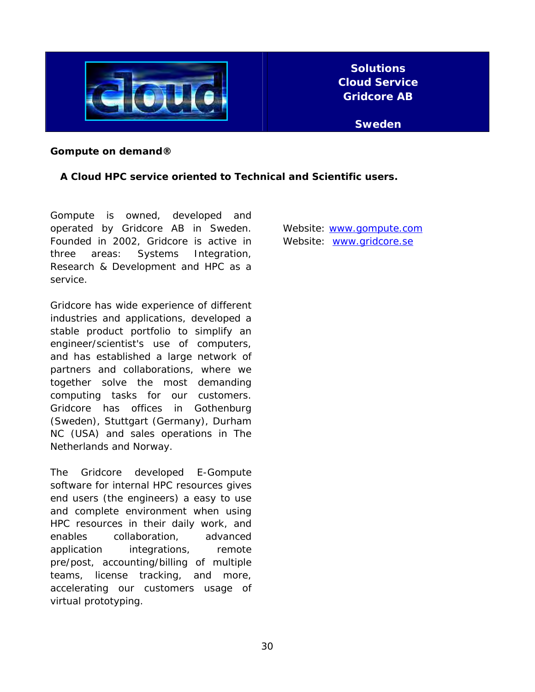

#### **Gompute on demand®**

#### **A Cloud HPC service oriented to Technical and Scientific users.**

Gompute is owned, developed and operated by Gridcore AB in Sweden. Founded in 2002, Gridcore is active in three areas: Systems Integration, Research & Development and HPC as a service.

Gridcore has wide experience of different industries and applications, developed a stable product portfolio to simplify an engineer/scientist's use of computers, and has established a large network of partners and collaborations, where we together solve the most demanding computing tasks for our customers. Gridcore has offices in Gothenburg (Sweden), Stuttgart (Germany), Durham NC (USA) and sales operations in The Netherlands and Norway.

The Gridcore developed E-Gompute software for internal HPC resources gives end users (the engineers) a easy to use and complete environment when using HPC resources in their daily work, and enables collaboration, advanced application integrations, remote pre/post, accounting/billing of multiple teams, license tracking, and more, accelerating our customers usage of virtual prototyping.

Website: [www.gompute.com](http://www.gompute.com/)  Website: [www.gridcore.se](http://www.gridcore.se/)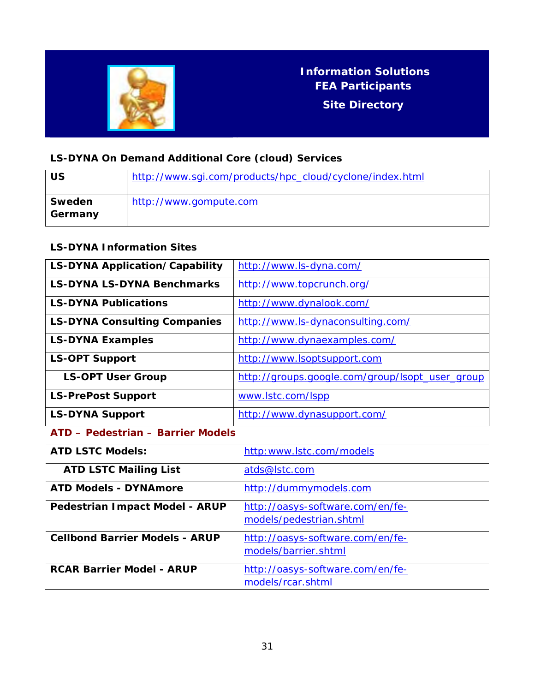

## **Information Solutions FEA Participants Site Directory**

### **LS-DYNA On Demand Additional Core (cloud) Services**

| US                | http://www.sgi.com/products/hpc_cloud/cyclone/index.html |
|-------------------|----------------------------------------------------------|
| Sweden<br>Germany | http://www.gompute.com                                   |

### **LS-DYNA Information Sites**

| LS-DYNA Application/Capability        | http://www.ls-dyna.com/                         |
|---------------------------------------|-------------------------------------------------|
| <b>LS-DYNA LS-DYNA Benchmarks</b>     | http://www.topcrunch.org/                       |
| <b>LS-DYNA Publications</b>           | http://www.dynalook.com/                        |
| <b>LS-DYNA Consulting Companies</b>   | http://www.ls-dynaconsulting.com/               |
| <b>LS-DYNA Examples</b>               | http://www.dynaexamples.com/                    |
| <b>LS-OPT Support</b>                 | http://www.lsoptsupport.com                     |
| <b>LS-OPT User Group</b>              | http://groups.google.com/group/lsopt_user_group |
| <b>LS-PrePost Support</b>             | www.lstc.com/lspp                               |
| <b>LS-DYNA Support</b>                | http://www.dynasupport.com/                     |
| ATD - Pedestrian - Barrier Models     |                                                 |
| <b>ATD LSTC Models:</b>               | http:www.lstc.com/models                        |
| <b>ATD LSTC Mailing List</b>          | atds@lstc.com                                   |
| <b>ATD Models - DYNAmore</b>          | http://dummymodels.com                          |
| Pedestrian Impact Model - ARUP        | http://oasys-software.com/en/fe-                |
|                                       | models/pedestrian.shtml                         |
| <b>Cellbond Barrier Models - ARUP</b> | http://oasys-software.com/en/fe-                |
|                                       | models/barrier.shtml                            |
| <b>RCAR Barrier Model - ARUP</b>      | http://oasys-software.com/en/fe-                |
|                                       | models/rcar.shtml                               |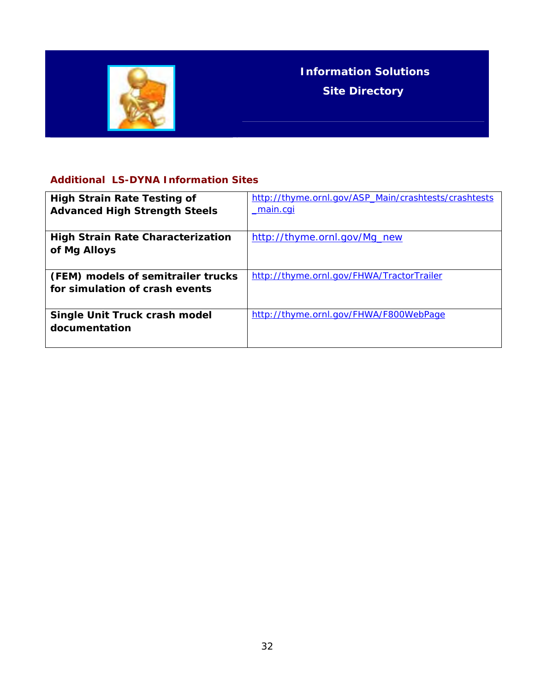

### **Additional LS-DYNA Information Sites**

| <b>High Strain Rate Testing of</b><br><b>Advanced High Strength Steels</b> | http://thyme.ornl.gov/ASP_Main/crashtests/crashtests<br><u>main.cgi</u> |
|----------------------------------------------------------------------------|-------------------------------------------------------------------------|
| <b>High Strain Rate Characterization</b><br>of Mg Alloys                   | http://thyme.ornl.gov/Mg_new                                            |
| (FEM) models of semitrailer trucks<br>for simulation of crash events       | http://thyme.ornl.gov/FHWA/TractorTrailer                               |
| Single Unit Truck crash model<br>documentation                             | http://thyme.ornl.gov/FHWA/F800WebPage                                  |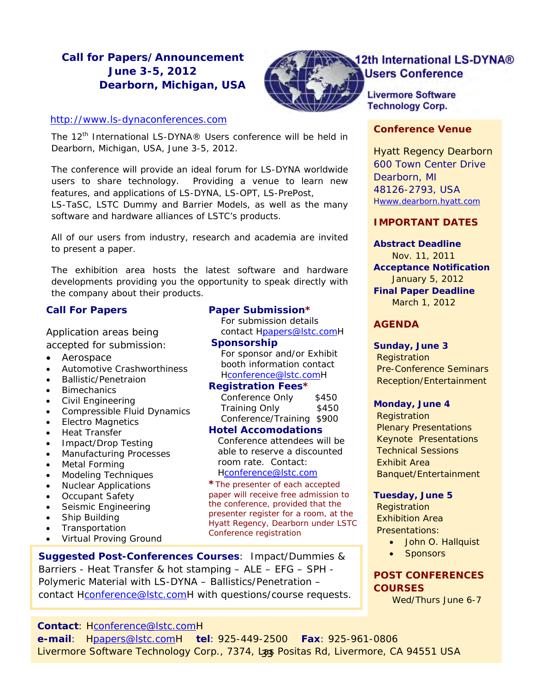### **Call for Papers/Announcement June 3-5, 2012 Dearborn, Michigan, USA**



### 12th International LS-DYNA® **Users Conference**

**Livermore Software Technology Corp.** 

Hyatt Regency Dearborn 600 Town Center Drive Dearborn, MI 48126-2793, USA Hwww.dearborn.hyatt.com

#### *IMPORTANT DATES*

**Abstract Deadline**  Nov. 11, 2011 **Acceptance Notification**  January 5, 2012 **Final Paper Deadline**  March 1, 2012

### *AGENDA*

#### **Sunday, June 3**

**Registration**  Pre-Conference Seminars Reception/Entertainment

#### **Monday, June 4**

**Registration**  Plenary Presentations Keynote Presentations Technical Sessions Exhibit Area Banquet/Entertainment

#### **Tuesday, June 5**

**Registration**  Exhibition Area Presentations:

- John O. Hallquist
- **Sponsors**

#### *POST CONFERENCES COURSES*

Wed/Thurs June 6-7

[http://www.ls-dynaconferences.com](http://www.ls-dynaconferences.com/) **Conference Venue** 

The 12<sup>th</sup> International LS-DYNA® Users conference will be held in Dearborn, Michigan, USA, June 3-5, 2012.

The conference will provide an ideal forum for LS-DYNA worldwide users to share technology. Providing a venue to learn new features, and applications of LS-DYNA, LS-OPT, LS-PrePost,

LS-TaSC, LSTC Dummy and Barrier Models, as well as the many software and hardware alliances of LSTC's products.

All of our users from industry, research and academia are invited to present a paper.

The exhibition area hosts the latest software and hardware developments providing you the opportunity to speak directly with the company about their products.

#### **Call For Papers**

Application areas being accepted for submission:

- Aerospace
- Automotive Crashworthiness
- Ballistic/Penetraion
- **Bimechanics**
- Civil Engineering
- Compressible Fluid Dynamics
- Electro Magnetics
- Heat Transfer
- Impact/Drop Testing
- Manufacturing Processes
- Metal Forming
- Modeling Techniques
- Nuclear Applications
- Occupant Safety
- Seismic Engineering
- Ship Building
- **Transportation**
- Virtual Proving Ground

#### **Paper Submission\***

 For submission details contact Hpapers@lstc.comH

### **Sponsorship**

 For sponsor and/or Exhibit booth information contact Hconference@lstc.comH

#### **Registration Fees\***

Conference Only \$450 Training Only \$450 Conference/Training \$900

#### **Hotel Accomodations**

 Conference attendees will be able to reserve a discounted room rate. Contact: Hconference@lstc.com

**\***The presenter of each accepted paper will receive free admission to the conference, provided that the presenter register for a room, at the Hyatt Regency, Dearborn under LSTC Conference registration

**Suggested Post-Conferences Courses**: Impact/Dummies & Barriers - Heat Transfer & hot stamping – ALE – EFG – SPH - Polymeric Material with LS-DYNA – Ballistics/Penetration – contact Hconference@lstc.comH with questions/course requests.

**Contact**: Hconference@lstc.comH

**e-mail**: Hpapers@lstc.comH **tel**: 925-449-2500 **Fax**: 925-961-0806 Livermore Software Technology Corp., 7374, Las Positas Rd, Livermore, CA 94551 USA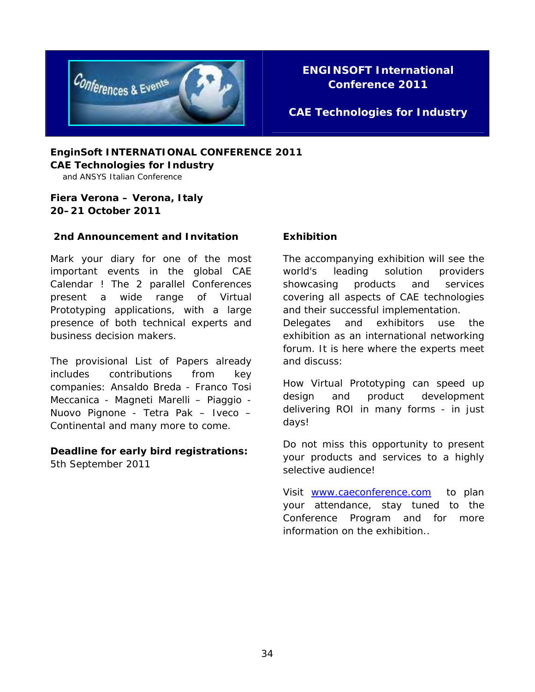

### **ENGINSOFT International Conference 2011**

### **CAE Technologies for Industry**

**EnginSoft INTERNATIONAL CONFERENCE 2011 CAE Technologies for Industry** 

and ANSYS Italian Conference

#### **Fiera Verona – Verona, Italy 20–21 October 2011**

#### **2nd Announcement and Invitation**

Mark your diary for one of the most important events in the global CAE Calendar ! The 2 parallel Conferences present a wide range of Virtual Prototyping applications, with a large presence of both technical experts and business decision makers.

The provisional List of Papers already includes contributions from key companies: Ansaldo Breda - Franco Tosi Meccanica - Magneti Marelli – Piaggio - Nuovo Pignone - Tetra Pak – Iveco – Continental and many more to come.

### **Deadline for early bird registrations:**

5th September 2011

#### **Exhibition**

The accompanying exhibition will see the world's leading solution providers showcasing products and services covering all aspects of CAE technologies and their successful implementation. Delegates and exhibitors use the

exhibition as an international networking forum. It is here where the experts meet and discuss:

How Virtual Prototyping can speed up design and product development delivering ROI in many forms - in just days!

Do not miss this opportunity to present your products and services to a highly selective audience!

Visit [www.caeconference.com](http://www.caeconference.com/) to plan your attendance, stay tuned to the Conference Program and for more information on the exhibition..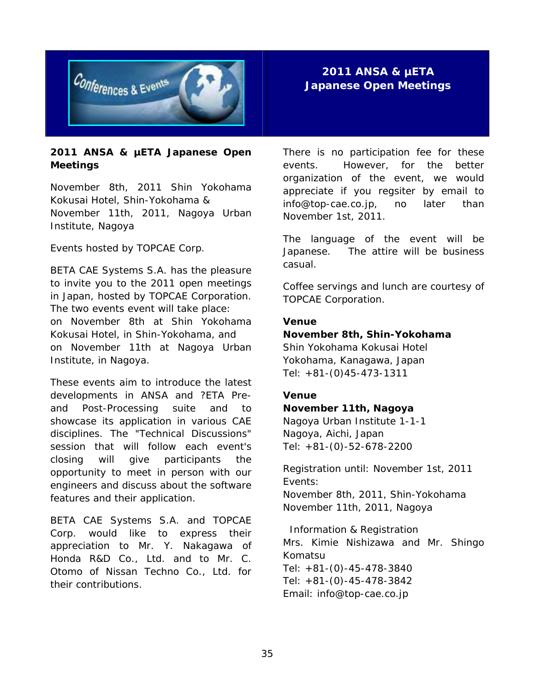

#### **2011 ANSA & µETA Japanese Open Meetings**

November 8th, 2011 Shin Yokohama Kokusai Hotel, Shin-Yokohama & November 11th, 2011, Nagoya Urban Institute, Nagoya

Events hosted by TOPCAE Corp.

BETA CAE Systems S.A. has the pleasure to invite you to the 2011 open meetings in Japan, hosted by TOPCAE Corporation. The two events event will take place: on November 8th at Shin Yokohama Kokusai Hotel, in Shin-Yokohama, and on November 11th at Nagoya Urban Institute, in Nagoya.

These events aim to introduce the latest developments in ANSA and ?ETA Preand Post-Processing suite and to showcase its application in various CAE disciplines. The "Technical Discussions" session that will follow each event's closing will give participants the opportunity to meet in person with our engineers and discuss about the software features and their application.

BETA CAE Systems S.A. and TOPCAE Corp. would like to express their appreciation to Mr. Y. Nakagawa of Honda R&D Co., Ltd. and to Mr. C. Otomo of Nissan Techno Co., Ltd. for their contributions.

**2011 ANSA & µETA Japanese Open Meetings** 

There is no participation fee for these events. However, for the better organization of the event, we would appreciate if you regsiter by email to info@top-cae.co.jp, no later than November 1st, 2011.

The language of the event will be Japanese. The attire will be business casual.

Coffee servings and lunch are courtesy of TOPCAE Corporation.

#### **Venue**

#### **November 8th, Shin-Yokohama**

Shin Yokohama Kokusai Hotel Yokohama, Kanagawa, Japan Tel: +81-(0)45-473-1311

#### **Venue**

#### **November 11th, Nagoya**

Nagoya Urban Institute 1-1-1 Nagoya, Aichi, Japan Tel: +81-(0)-52-678-2200

Registration until: November 1st, 2011 Events: November 8th, 2011, Shin-Yokohama November 11th, 2011, Nagoya

 Information & Registration Mrs. Kimie Nishizawa and Mr. Shingo Komatsu Tel: +81-(0)-45-478-3840 Tel: +81-(0)-45-478-3842 Email: info@top-cae.co.jp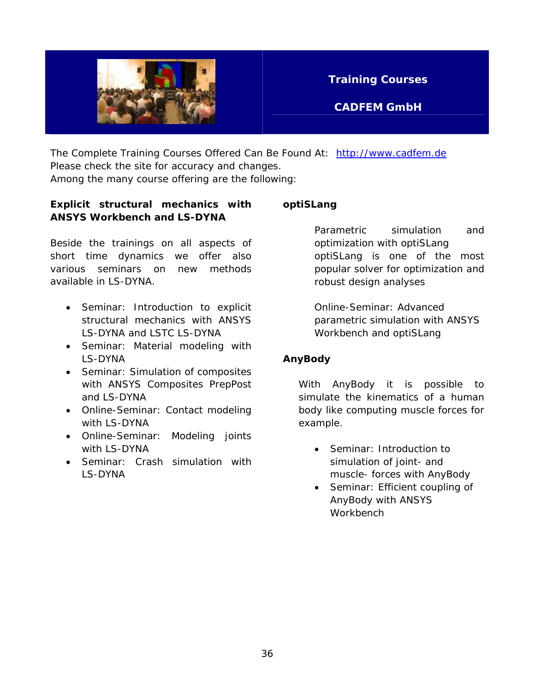

**CADFEM GmbH** 

The Complete Training Courses Offered Can Be Found At: [http://www.cadfem.de](http://www.cadfem.de/) Please check the site for accuracy and changes.

Among the many course offering are the following:

#### **Explicit structural mechanics with ANSYS Workbench and LS-DYNA**

Beside the trainings on all aspects of short time dynamics we offer also various seminars on new methods available in LS-DYNA.

- Seminar: Introduction to explicit structural mechanics with ANSYS LS-DYNA and LSTC LS-DYNA
- Seminar: Material modeling with LS-DYNA
- Seminar: Simulation of composites with ANSYS Composites PrepPost and LS-DYNA
- Online-Seminar: Contact modeling with LS-DYNA
- Online-Seminar: Modeling joints with LS-DYNA
- Seminar: Crash simulation with LS-DYNA

#### **optiSLang**

Parametric simulation and optimization with optiSLang optiSLang is one of the most popular solver for optimization and robust design analyses

Online-Seminar: Advanced parametric simulation with ANSYS Workbench and optiSLang

### **AnyBody**

With AnyBody it is possible to simulate the kinematics of a human body like computing muscle forces for example.

- Seminar: Introduction to simulation of joint- and muscle- forces with AnyBody
- Seminar: Efficient coupling of AnyBody with ANSYS **Workbench**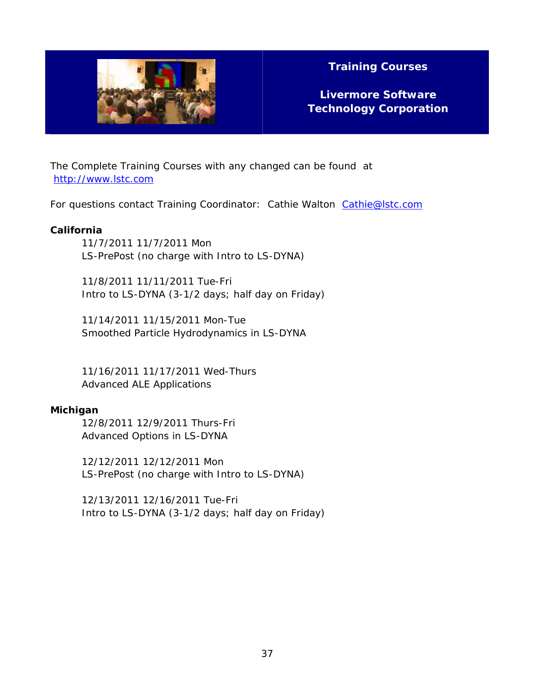

**Livermore Software Technology Corporation** 

The Complete Training Courses with any changed can be found at [http://www.lstc.com](http://www.lstc.com/) 

For questions contact Training Coordinator: Cathie Walton Cathie@lstc.com

#### **California**

11/7/2011 11/7/2011 Mon LS-PrePost (no charge with Intro to LS-DYNA)

11/8/2011 11/11/2011 Tue-Fri Intro to LS-DYNA (3-1/2 days; half day on Friday)

11/14/2011 11/15/2011 Mon-Tue Smoothed Particle Hydrodynamics in LS-DYNA

11/16/2011 11/17/2011 Wed-Thurs Advanced ALE Applications

#### **Michigan**

12/8/2011 12/9/2011 Thurs-Fri Advanced Options in LS-DYNA

12/12/2011 12/12/2011 Mon LS-PrePost (no charge with Intro to LS-DYNA)

12/13/2011 12/16/2011 Tue-Fri Intro to LS-DYNA (3-1/2 days; half day on Friday)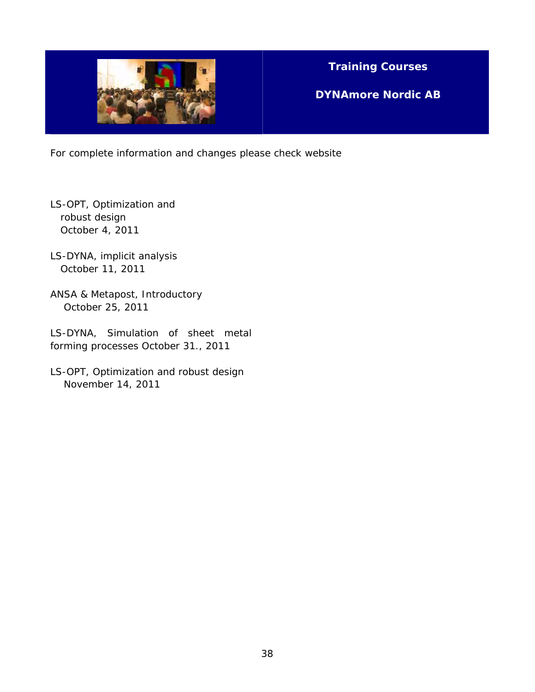

**DYNAmore Nordic AB** 

For complete information and changes please check website

- LS-OPT, Optimization and robust design October 4, 2011
- LS-DYNA, implicit analysis October 11, 2011
- ANSA & Metapost, Introductory October 25, 2011
- LS-DYNA, Simulation of sheet metal forming processes October 31., 2011
- LS-OPT, Optimization and robust design November 14, 2011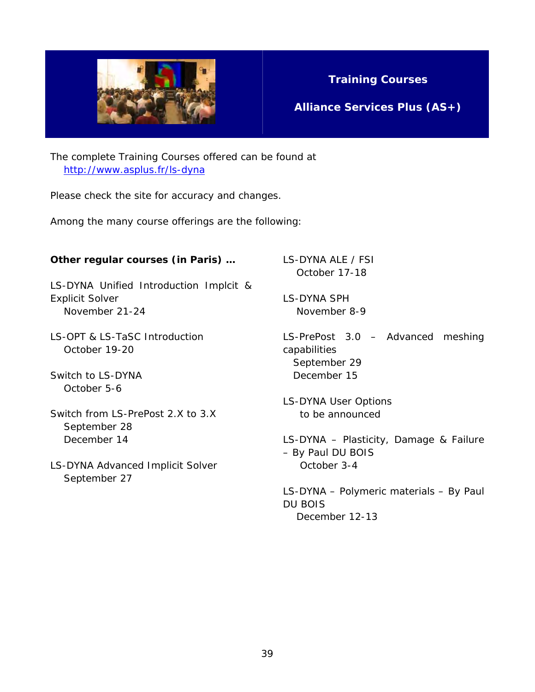

**Alliance Services Plus (AS+)** 

The complete Training Courses offered can be found at <http://www.asplus.fr/ls-dyna>

Please check the site for accuracy and changes.

Among the many course offerings are the following:

#### **Other regular courses (in Paris) …**

LS-DYNA Unified Introduction Implcit & Explicit Solver November 21-24

LS-OPT & LS-TaSC Introduction October 19-20

Switch to LS-DYNA October 5-6

- Switch from LS-PrePost 2.X to 3.X September 28 December 14
- LS-DYNA Advanced Implicit Solver September 27

LS-DYNA ALE / FSI October 17-18

LS-DYNA SPH November 8-9

LS-PrePost 3.0 – Advanced meshing capabilities September 29 December 15

LS-DYNA User Options to be announced

LS-DYNA – Plasticity, Damage & Failure – By Paul DU BOIS October 3-4

LS-DYNA – Polymeric materials – By Paul DU BOIS December 12-13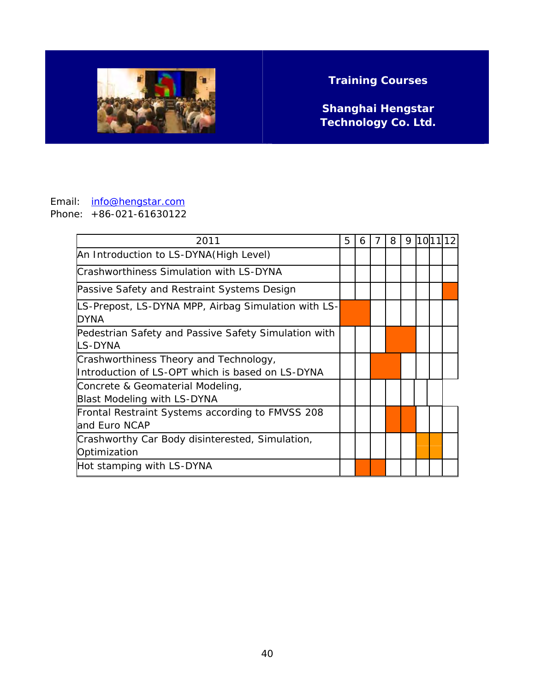

**Shanghai Hengstar Technology Co. Ltd.** 

#### Email: info@hengstar.com Phone: +86-021-61630122

| 2011                                                                                       | 5 | 6 | 7 | 8 | 9 | 10 11 |  |
|--------------------------------------------------------------------------------------------|---|---|---|---|---|-------|--|
| An Introduction to LS-DYNA (High Level)                                                    |   |   |   |   |   |       |  |
| Crashworthiness Simulation with LS-DYNA                                                    |   |   |   |   |   |       |  |
| Passive Safety and Restraint Systems Design                                                |   |   |   |   |   |       |  |
| LS-Prepost, LS-DYNA MPP, Airbag Simulation with LS-<br><b>DYNA</b>                         |   |   |   |   |   |       |  |
| Pedestrian Safety and Passive Safety Simulation with<br>LS-DYNA                            |   |   |   |   |   |       |  |
| Crashworthiness Theory and Technology,<br>Introduction of LS-OPT which is based on LS-DYNA |   |   |   |   |   |       |  |
| Concrete & Geomaterial Modeling,<br><b>Blast Modeling with LS-DYNA</b>                     |   |   |   |   |   |       |  |
| Frontal Restraint Systems according to FMVSS 208<br>and Euro NCAP                          |   |   |   |   |   |       |  |
| Crashworthy Car Body disinterested, Simulation,<br>Optimization                            |   |   |   |   |   |       |  |
| Hot stamping with LS-DYNA                                                                  |   |   |   |   |   |       |  |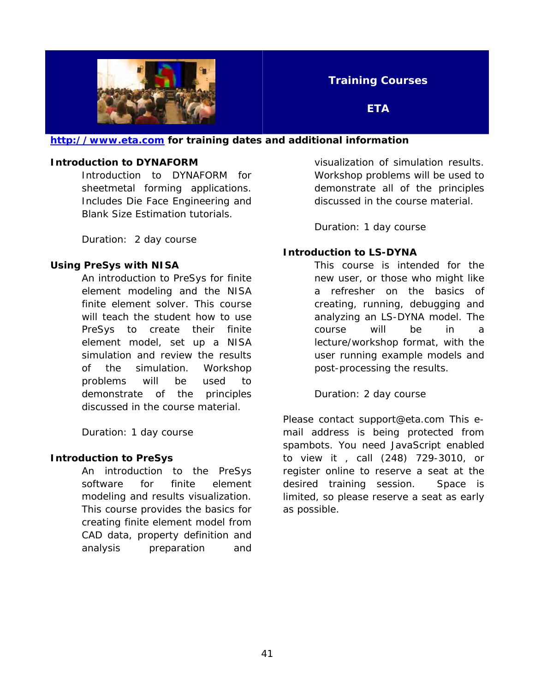

**ETA** 

#### **[http://www.eta.com](http://www.eta.com/) for training dates and additional information**

#### **Introduction to DYNAFORM**

Introduction to DYNAFORM for sheetmetal forming applications. Includes Die Face Engineering and Blank Size Estimation tutorials.

Duration: 2 day course

#### **Using PreSys with NISA**

An introduction to PreSys for finite element modeling and the NISA finite element solver. This course will teach the student how to use PreSys to create their finite element model, set up a NISA simulation and review the results of the simulation. Workshop problems will be used to demonstrate of the principles discussed in the course material.

Duration: 1 day course

#### **Introduction to PreSys**

An introduction to the PreSys software for finite element modeling and results visualization. This course provides the basics for creating finite element model from CAD data, property definition and analysis preparation and

visualization of simulation results. Workshop problems will be used to demonstrate all of the principles discussed in the course material.

Duration: 1 day course

#### **Introduction to LS-DYNA**

This course is intended for the new user, or those who might like a refresher on the basics of creating, running, debugging and analyzing an LS-DYNA model. The course will be in a lecture/workshop format, with the user running example models and post-processing the results.

Duration: 2 day course

Please contact support@eta.com This email address is being protected from spambots. You need JavaScript enabled to view it , call (248) 729-3010, or register online to reserve a seat at the desired training session. Space is limited, so please reserve a seat as early as possible.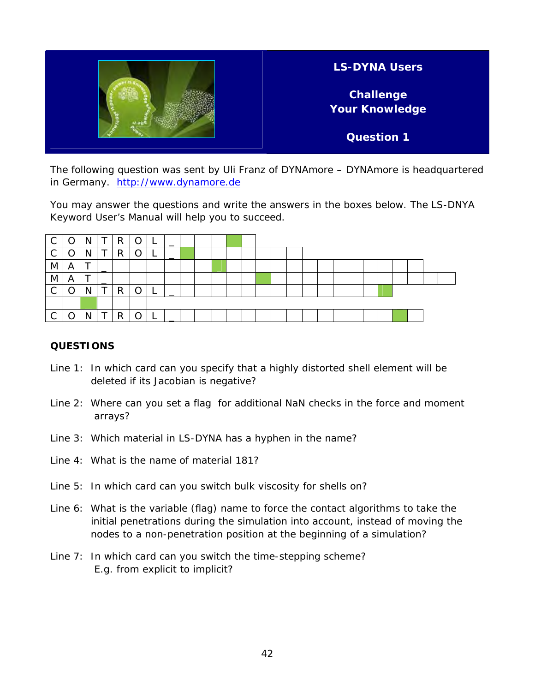

The following question was sent by Uli Franz of DYNAmore – DYNAmore is headquartered in Germany. [http://www.dynamore.de](http://www.dynamore.de/)

You may answer the questions and write the answers in the boxes below. The LS-DNYA Keyword User's Manual will help you to succeed.

| C            |   | N |   | R | Ô | ► |  |  |  |  |  |  |  |  |  |  |
|--------------|---|---|---|---|---|---|--|--|--|--|--|--|--|--|--|--|
| $\mathsf{C}$ |   | N | ᠇ | R |   | − |  |  |  |  |  |  |  |  |  |  |
| M            | A |   |   |   |   |   |  |  |  |  |  |  |  |  |  |  |
| M            | A |   |   |   |   |   |  |  |  |  |  |  |  |  |  |  |
| $\mathsf{C}$ |   |   | ᠇ | R |   |   |  |  |  |  |  |  |  |  |  |  |
|              |   |   |   |   |   |   |  |  |  |  |  |  |  |  |  |  |
| C            |   |   | ᠇ | R |   |   |  |  |  |  |  |  |  |  |  |  |

#### **QUESTIONS**

- Line 1: In which card can you specify that a highly distorted shell element will be deleted if its Jacobian is negative?
- Line 2: Where can you set a flag for additional NaN checks in the force and moment arrays?
- Line 3: Which material in LS-DYNA has a hyphen in the name?
- Line 4: What is the name of material 181?
- Line 5: In which card can you switch bulk viscosity for shells on?
- Line 6: What is the variable (flag) name to force the contact algorithms to take the initial penetrations during the simulation into account, instead of moving the nodes to a non-penetration position at the beginning of a simulation?
- Line 7: In which card can you switch the time-stepping scheme? E.g. from explicit to implicit?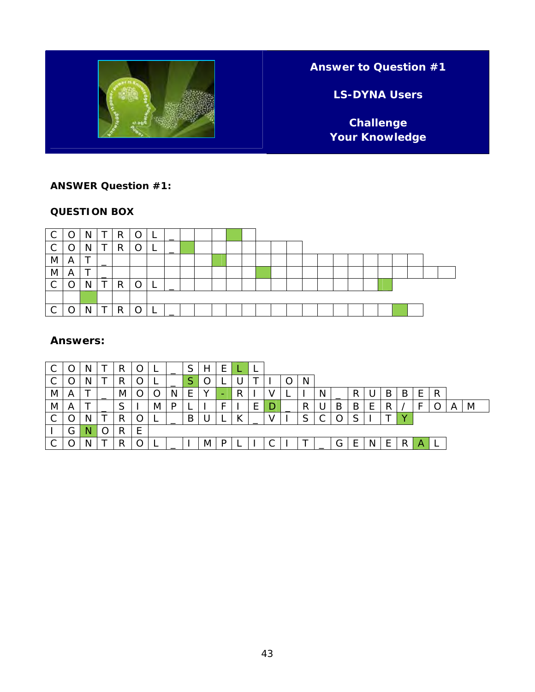

### **Answer to Question #1**

**LS-DYNA Users** 

**Challenge Your Knowledge** 

#### **ANSWER Question #1:**

#### **QUESTION BOX**



#### **Answers:**

|            |   |  |            | s. | _ |   |   |   |   | <u>ь</u> |   |    |    |   |   |   |   |   |   |   |   |
|------------|---|--|------------|----|---|---|---|---|---|----------|---|----|----|---|---|---|---|---|---|---|---|
| $\sim$     |   |  |            | ▃  |   |   |   |   |   |          |   | N. |    |   |   |   |   |   |   |   |   |
| <b>IVI</b> | A |  | <b>IVI</b> |    |   | - |   | - | R |          |   |    | IΝ |   |   | B | B | E | R |   |   |
| M          | A |  |            | M  |   |   |   |   |   | -        | D | R  | U  | Β | B |   |   |   |   | A | M |
| $\sim$     | ∩ |  | . .        |    |   | B |   |   |   |          |   | ົ  |    |   | ⌒ |   |   |   |   |   |   |
|            | G |  | R          |    |   |   |   |   |   |          |   |    |    |   |   |   |   |   |   |   |   |
| ⌒          |   |  |            |    |   |   | M |   |   |          |   |    |    | G | ⊢ |   | R | Α |   |   |   |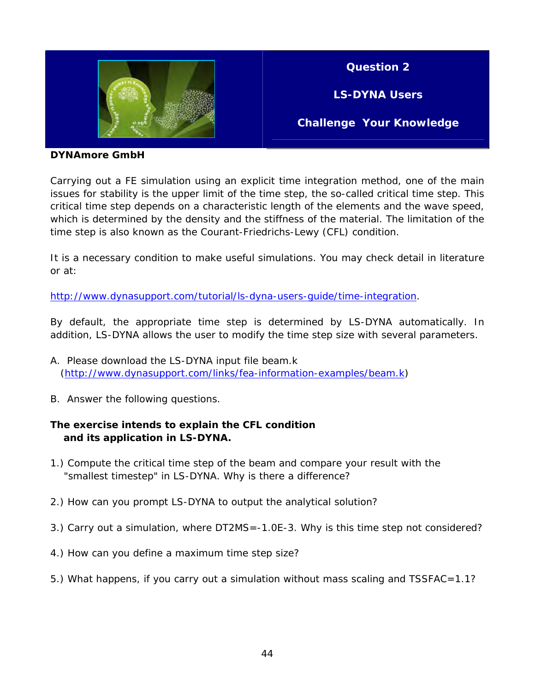

**Question 2** 

**LS-DYNA Users** 

**Challenge Your Knowledge** 

**DYNAmore GmbH** 

Carrying out a FE simulation using an explicit time integration method, one of the main issues for stability is the upper limit of the time step, the so-called critical time step. This critical time step depends on a characteristic length of the elements and the wave speed, which is determined by the density and the stiffness of the material. The limitation of the time step is also known as the Courant-Friedrichs-Lewy (CFL) condition.

It is a necessary condition to make useful simulations. You may check detail in literature or at:

<http://www.dynasupport.com/tutorial/ls-dyna-users-guide/time-integration>.

By default, the appropriate time step is determined by LS-DYNA automatically. In addition, LS-DYNA allows the user to modify the time step size with several parameters.

- A. Please download the LS-DYNA input file beam.k [\(http://www.dynasupport.com/links/fea-information-examples/beam.k](http://www.dynasupport.com/links/fea-information-examples/beam.k))
- B. Answer the following questions.

#### **The exercise intends to explain the CFL condition and its application in LS-DYNA.**

- 1.) Compute the critical time step of the beam and compare your result with the "smallest timestep" in LS-DYNA. Why is there a difference?
- 2.) How can you prompt LS-DYNA to output the analytical solution?
- 3.) Carry out a simulation, where DT2MS=-1.0E-3. Why is this time step not considered?
- 4.) How can you define a maximum time step size?
- 5.) What happens, if you carry out a simulation without mass scaling and TSSFAC=1.1?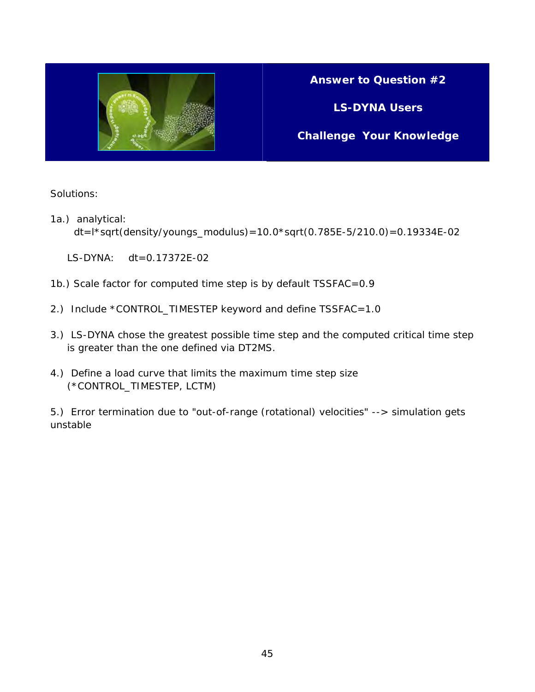

### **Answer to Question #2**

**LS-DYNA Users** 

**Challenge Your Knowledge** 

#### Solutions:

1a.) analytical:

dt=l\*sqrt(density/youngs\_modulus)=10.0\*sqrt(0.785E-5/210.0)=0.19334E-02

- LS-DYNA: dt=0.17372E-02
- 1b.) Scale factor for computed time step is by default TSSFAC=0.9
- 2.) Include \*CONTROL\_TIMESTEP keyword and define TSSFAC=1.0
- 3.) LS-DYNA chose the greatest possible time step and the computed critical time step is greater than the one defined via DT2MS.
- 4.) Define a load curve that limits the maximum time step size (\*CONTROL\_TIMESTEP, LCTM)

5.) Error termination due to "out-of-range (rotational) velocities" --> simulation gets unstable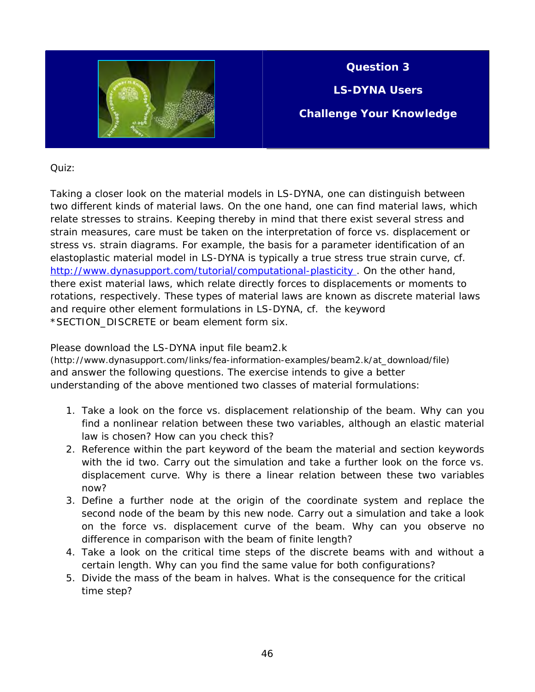

**Question 3** 

**LS-DYNA Users** 

**Challenge Your Knowledge** 

Quiz:

Taking a closer look on the material models in LS-DYNA, one can distinguish between two different kinds of material laws. On the one hand, one can find material laws, which relate stresses to strains. Keeping thereby in mind that there exist several stress and strain measures, care must be taken on the interpretation of force vs. displacement or stress vs. strain diagrams. For example, the basis for a parameter identification of an elastoplastic material model in LS-DYNA is typically a true stress true strain curve, cf. http://www.dynasupport.com/tutorial/computational-plasticity. On the other hand, there exist material laws, which relate directly forces to displacements or moments to rotations, respectively. These types of material laws are known as discrete material laws and require other element formulations in LS-DYNA, cf. the keyword \*SECTION\_DISCRETE or beam element form six.

Please download the LS-DYNA input file beam2.k

(http://www.dynasupport.com/links/fea-information-examples/beam2.k/at\_download/file) and answer the following questions. The exercise intends to give a better understanding of the above mentioned two classes of material formulations:

- 1. Take a look on the force vs. displacement relationship of the beam. Why can you find a nonlinear relation between these two variables, although an elastic material law is chosen? How can you check this?
- 2. Reference within the part keyword of the beam the material and section keywords with the id two. Carry out the simulation and take a further look on the force vs. displacement curve. Why is there a linear relation between these two variables now?
- 3. Define a further node at the origin of the coordinate system and replace the second node of the beam by this new node. Carry out a simulation and take a look on the force vs. displacement curve of the beam. Why can you observe no difference in comparison with the beam of finite length?
- 4. Take a look on the critical time steps of the discrete beams with and without a certain length. Why can you find the same value for both configurations?
- 5. Divide the mass of the beam in halves. What is the consequence for the critical time step?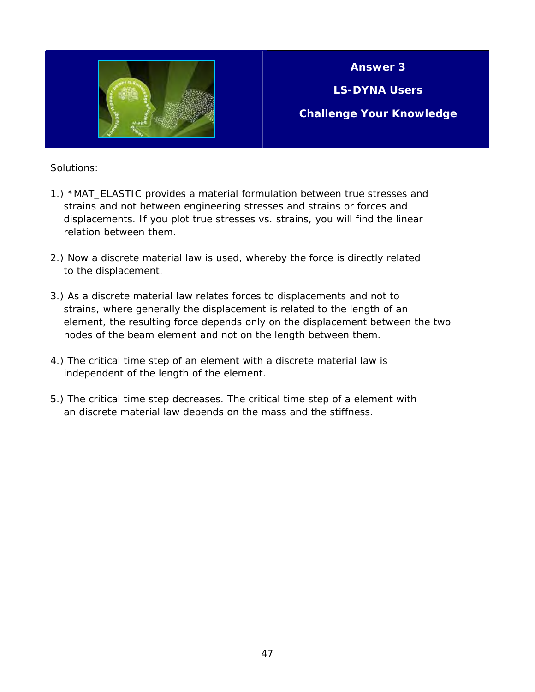

**Answer 3** 

**LS-DYNA Users** 

**Challenge Your Knowledge** 

#### Solutions:

- 1.) \*MAT\_ELASTIC provides a material formulation between true stresses and strains and not between engineering stresses and strains or forces and displacements. If you plot true stresses vs. strains, you will find the linear relation between them.
- 2.) Now a discrete material law is used, whereby the force is directly related to the displacement.
- 3.) As a discrete material law relates forces to displacements and not to strains, where generally the displacement is related to the length of an element, the resulting force depends only on the displacement between the two nodes of the beam element and not on the length between them.
- 4.) The critical time step of an element with a discrete material law is independent of the length of the element.
- 5.) The critical time step decreases. The critical time step of a element with an discrete material law depends on the mass and the stiffness.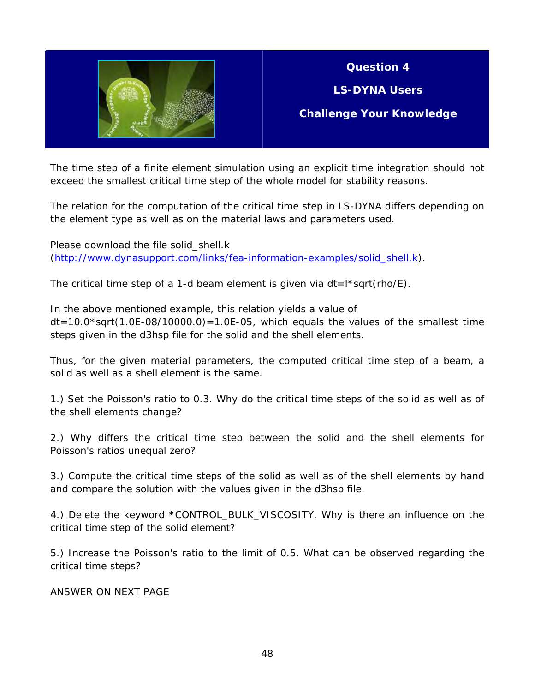

### **Question 4**

**LS-DYNA Users** 

**Challenge Your Knowledge** 

The time step of a finite element simulation using an explicit time integration should not exceed the smallest critical time step of the whole model for stability reasons.

The relation for the computation of the critical time step in LS-DYNA differs depending on the element type as well as on the material laws and parameters used.

Please download the file solid\_shell.k ([http://www.dynasupport.com/links/fea-information-examples/solid\\_shell.k\)](http://www.dynasupport.com/links/fea-information-examples/solid_shell.k).

The critical time step of a 1-d beam element is given via  $dt = l * sqrt(rho/E)$ .

In the above mentioned example, this relation yields a value of  $dt = 10.0*sqrt(1.0E-08/10000.0) = 1.0E-05$ , which equals the values of the smallest time steps given in the d3hsp file for the solid and the shell elements.

Thus, for the given material parameters, the computed critical time step of a beam, a solid as well as a shell element is the same.

1.) Set the Poisson's ratio to 0.3. Why do the critical time steps of the solid as well as of the shell elements change?

2.) Why differs the critical time step between the solid and the shell elements for Poisson's ratios unequal zero?

3.) Compute the critical time steps of the solid as well as of the shell elements by hand and compare the solution with the values given in the d3hsp file.

4.) Delete the keyword \*CONTROL\_BULK\_VISCOSITY. Why is there an influence on the critical time step of the solid element?

5.) Increase the Poisson's ratio to the limit of 0.5. What can be observed regarding the critical time steps?

ANSWER ON NEXT PAGE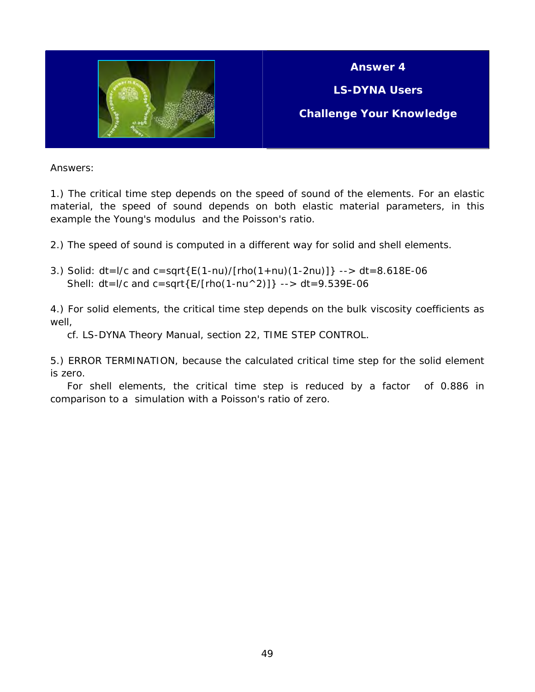

**Answer 4** 

**LS-DYNA Users** 

**Challenge Your Knowledge** 

Answers:

1.) The critical time step depends on the speed of sound of the elements. For an elastic material, the speed of sound depends on both elastic material parameters, in this example the Young's modulus and the Poisson's ratio.

2.) The speed of sound is computed in a different way for solid and shell elements.

3.) Solid: dt=l/c and c=sqrt{E(1-nu)/[rho(1+nu)(1-2nu)]} --> dt=8.618E-06 Shell:  $dt = 1/c$  and  $c = sqrt{E/[rho(1-nu^2)]}$  -->  $dt = 9.539E-06$ 

4.) For solid elements, the critical time step depends on the bulk viscosity coefficients as well,

cf. LS-DYNA Theory Manual, section 22, TIME STEP CONTROL.

5.) ERROR TERMINATION, because the calculated critical time step for the solid element is zero.

 For shell elements, the critical time step is reduced by a factor of 0.886 in comparison to a simulation with a Poisson's ratio of zero.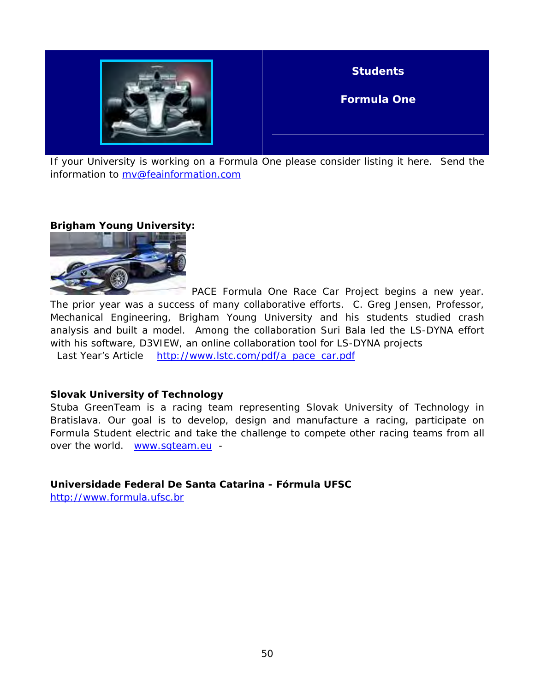

**Students** 

**Formula One** 

If your University is working on a Formula One please consider listing it here. Send the information to [mv@feainformation.com](mailto:mv@feainformation.com) 

#### **Brigham Young University:**



 PACE Formula One Race Car Project begins a new year. The prior year was a success of many collaborative efforts. C. Greg Jensen, Professor, Mechanical Engineering, Brigham Young University and his students studied crash analysis and built a model. Among the collaboration Suri Bala led the LS-DYNA effort with his software, D3VIEW, an online collaboration tool for LS-DYNA projects Last Year's Article [http://www.lstc.com/pdf/a\\_pace\\_car.pdf](http://www.lstc.com/pdf/a_pace_car.pdf)

#### **Slovak University of Technology**

Stuba GreenTeam is a racing team representing Slovak University of Technology in Bratislava. Our goal is to develop, design and manufacture a racing, participate on Formula Student electric and take the challenge to compete other racing teams from all over the world. [www.sgteam.eu](http://www.sgteam.eu/) -

**Universidade Federal De Santa Catarina - Fórmula UFSC** 

[http://www.formula.ufsc.br](http://www.formula.ufsc.br/)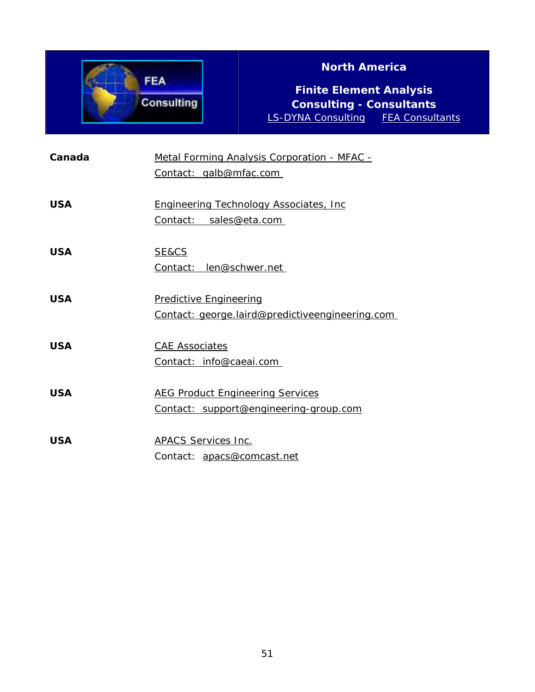

### **North America**

**Finite Element Analysis Consulting - Consultants**  [LS-DYNA Consulting](http://www.ls-dynaconsulting.com/index.htm) [FEA Consultants](http://www.fea-consultants.com/index.htm)

| Canada     | Metal Forming Analysis Corporation - MFAC -<br>Contact: galb@mfac.com             |
|------------|-----------------------------------------------------------------------------------|
| <b>USA</b> | <b>Engineering Technology Associates, Inc.</b><br>Contact: sales@eta.com          |
| <b>USA</b> | SE&CS<br>Contact: len@schwer.net                                                  |
| <b>USA</b> | <b>Predictive Engineering</b><br>Contact: george.laird@predictiveengineering.com  |
| <b>USA</b> | <b>CAE Associates</b><br>Contact: info@caeai.com                                  |
| <b>USA</b> | <b>AEG Product Engineering Services</b><br>Contact: support@engineering-group.com |
| <b>USA</b> | <b>APACS Services Inc.</b><br>Contact: apacs@comcast.net                          |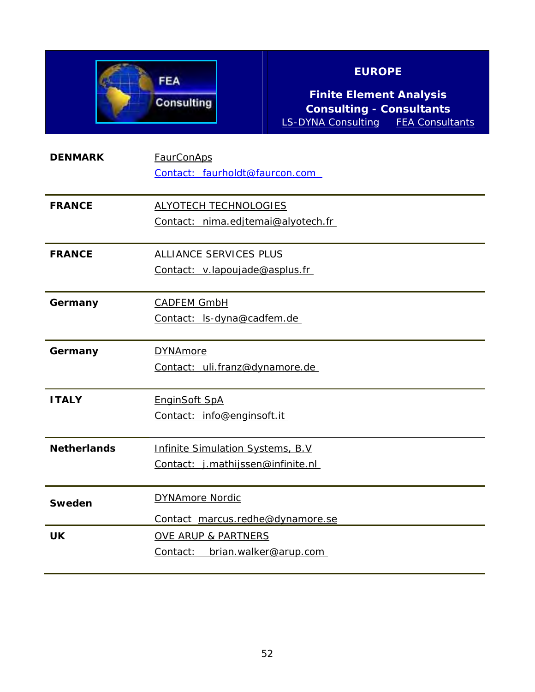

### **EUROPE**

**Finite Element Analysis Consulting - Consultants**  [LS-DYNA Consulting](http://www.ls-dynaconsulting.com/index.htm) [FEA Consultants](http://www.fea-consultants.com/index.htm)

| <b>DENMARK</b>     | <b>FaurConAps</b><br>Contact: faurholdt@faurcon.com                    |
|--------------------|------------------------------------------------------------------------|
| <b>FRANCE</b>      | <b>ALYOTECH TECHNOLOGIES</b><br>Contact: nima.edjtemai@alyotech.fr     |
| <b>FRANCE</b>      | ALLIANCE SERVICES PLUS<br>Contact: v.lapoujade@asplus.fr               |
| Germany            | <b>CADFEM GmbH</b><br>Contact: ls-dyna@cadfem.de                       |
| Germany            | <b>DYNAmore</b><br>Contact: uli.franz@dynamore.de                      |
| <b>ITALY</b>       | <b>EnginSoft SpA</b><br>Contact: info@enginsoft.it                     |
| <b>Netherlands</b> | Infinite Simulation Systems, B.V.<br>Contact: j.mathijssen@infinite.nl |
| Sweden             | <b>DYNAmore Nordic</b><br>Contact marcus.redhe@dynamore.se             |
| <b>UK</b>          | <b>OVE ARUP &amp; PARTNERS</b><br>Contact: brian.walker@arup.com       |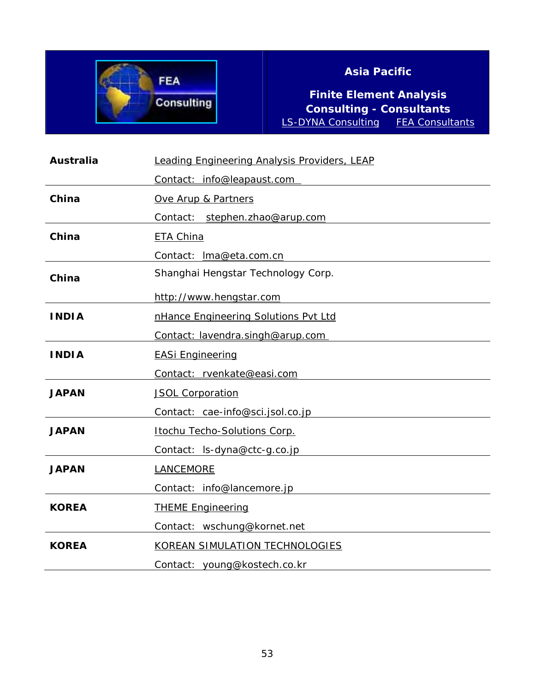

### **Asia Pacific**

**Finite Element Analysis Consulting - Consultants**  [LS-DYNA Consulting](http://www.ls-dynaconsulting.com/index.htm)

| <b>Australia</b> | <b>Leading Engineering Analysis Providers, LEAP</b> |
|------------------|-----------------------------------------------------|
|                  | Contact: info@leapaust.com                          |
| China            | Ove Arup & Partners                                 |
|                  | Contact: stephen.zhao@arup.com                      |
| China            | ETA China                                           |
|                  | Contact: Ima@eta.com.cn                             |
| China            | Shanghai Hengstar Technology Corp.                  |
|                  | http://www.hengstar.com                             |
| <b>INDIA</b>     | nHance Engineering Solutions Pvt Ltd                |
|                  | Contact: lavendra.singh@arup.com                    |
| <b>INDIA</b>     | <b>EASi Engineering</b>                             |
|                  | Contact: rvenkate@easi.com                          |
| <b>JAPAN</b>     | <b>JSOL Corporation</b>                             |
|                  | Contact: cae-info@sci.jsol.co.jp                    |
| <b>JAPAN</b>     | Itochu Techo-Solutions Corp.                        |
|                  | Contact: ls-dyna@ctc-g.co.jp                        |
| <b>JAPAN</b>     | LANCEMORE                                           |
|                  | Contact: info@lancemore.jp                          |
| <b>KOREA</b>     | <b>THEME Engineering</b>                            |
|                  | Contact: wschung@kornet.net                         |
| <b>KOREA</b>     | KOREAN SIMULATION TECHNOLOGIES                      |
|                  | Contact: young@kostech.co.kr                        |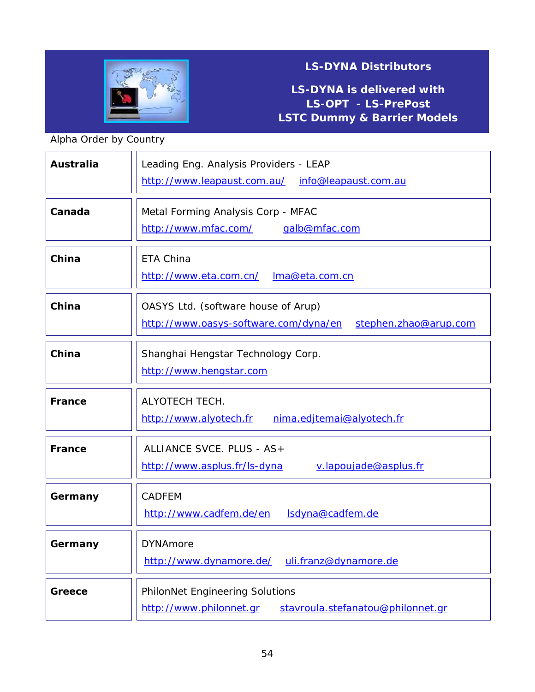

### **LS-DYNA is delivered with LS-OPT - LS-PrePost LSTC Dummy & Barrier Models**

### Alpha Order by Country

| <b>Australia</b> | Leading Eng. Analysis Providers - LEAP<br>http://www.leapaust.com.au/<br>info@leapaust.com.au         |
|------------------|-------------------------------------------------------------------------------------------------------|
| Canada           | Metal Forming Analysis Corp - MFAC<br>http://www.mfac.com/<br>galb@mfac.com                           |
| China            | ETA China<br>http://www.eta.com.cn/<br>Ima@eta.com.cn                                                 |
| China            | OASYS Ltd. (software house of Arup)<br>http://www.oasys-software.com/dyna/en<br>stephen.zhao@arup.com |
| China            | Shanghai Hengstar Technology Corp.<br>http://www.hengstar.com                                         |
| France           | <b>ALYOTECH TECH.</b><br>http://www.alyotech.fr<br>nima.edjtemai@alyotech.fr                          |
| <b>France</b>    | ALLIANCE SVCE. PLUS - AS+<br>http://www.asplus.fr/ls-dyna<br>v.lapoujade@asplus.fr                    |
| Germany          | <b>CADFEM</b><br>Isdyna@cadfem.de<br>http://www.cadfem.de/en                                          |
| Germany          | <b>DYNAmore</b><br>http://www.dynamore.de/<br>uli.franz@dynamore.de                                   |
| Greece           | PhilonNet Engineering Solutions<br>http://www.philonnet.gr<br>stavroula.stefanatou@philonnet.gr       |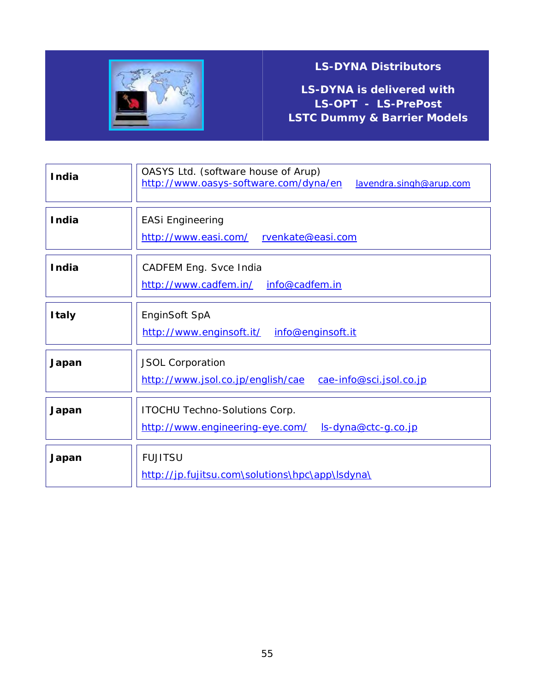

**LS-DYNA is delivered with LS-OPT - LS-PrePost LSTC Dummy & Barrier Models**

| <b>India</b> | OASYS Ltd. (software house of Arup)<br>http://www.oasys-software.com/dyna/en<br>lavendra.singh@arup.com |
|--------------|---------------------------------------------------------------------------------------------------------|
| <b>India</b> | <b>EASi Engineering</b><br>http://www.easi.com/<br>rvenkate@easi.com                                    |
| <b>India</b> | CADFEM Eng. Svce India<br>http://www.cadfem.in/ info@cadfem.in                                          |
| <b>Italy</b> | EnginSoft SpA<br>http://www.enginsoft.it/<br>info@enginsoft.it                                          |
| Japan        | <b>JSOL Corporation</b><br>http://www.jsol.co.jp/english/cae<br>cae-info@sci.jsol.co.jp                 |
| Japan        | <b>ITOCHU Techno-Solutions Corp.</b><br>http://www.engineering-eye.com/<br><u>ls-dyna@ctc-g.co.jp</u>   |
| Japan        | <b>FUJITSU</b><br>http://jp.fujitsu.com\solutions\hpc\app\lsdyna\                                       |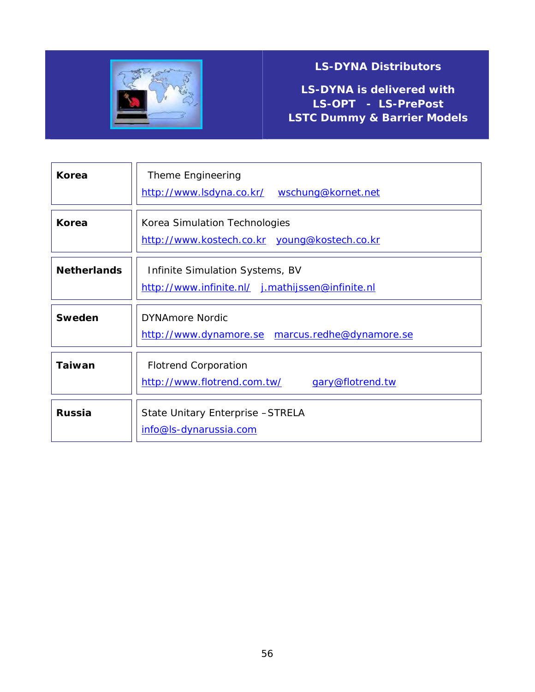

**LS-DYNA is delivered with LS-OPT - LS-PrePost LSTC Dummy & Barrier Models**

| Korea              | Theme Engineering<br>http://www.lsdyna.co.kr/ wschung@kornet.net                    |
|--------------------|-------------------------------------------------------------------------------------|
| Korea              | Korea Simulation Technologies<br>http://www.kostech.co.kr young@kostech.co.kr       |
| <b>Netherlands</b> | Infinite Simulation Systems, BV<br>http://www.infinite.nl/ j.mathijssen@infinite.nl |
| <b>Sweden</b>      | <b>DYNAmore Nordic</b><br>http://www.dynamore.se marcus.redhe@dynamore.se           |
| <b>Taiwan</b>      | <b>Flotrend Corporation</b><br>http://www.flotrend.com.tw/<br>gary@flotrend.tw      |
| <b>Russia</b>      | State Unitary Enterprise - STRELA<br>info@ls-dynarussia.com                         |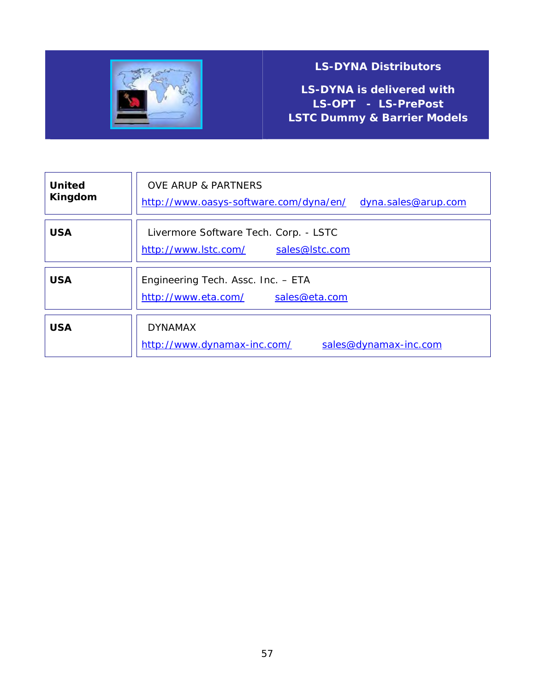

**LS-DYNA is delivered with LS-OPT - LS-PrePost LSTC Dummy & Barrier Models**

| <b>United</b><br>Kingdom | <b>OVE ARUP &amp; PARTNERS</b><br>http://www.oasys-software.com/dyna/en/<br>dyna.sales@arup.com |
|--------------------------|-------------------------------------------------------------------------------------------------|
| <b>USA</b>               | Livermore Software Tech. Corp. - LSTC<br>http://www.lstc.com/<br>sales@lstc.com                 |
| <b>USA</b>               | Engineering Tech. Assc. Inc. - ETA<br>http://www.eta.com/<br>sales@eta.com                      |
| <b>USA</b>               | <b>DYNAMAX</b><br>http://www.dynamax-inc.com/<br>sales@dynamax-inc.com                          |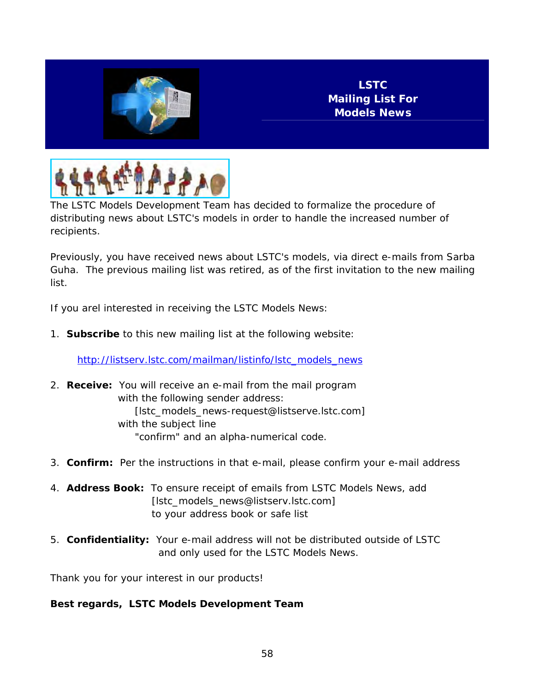



The LSTC Models Development Team has decided to formalize the procedure of distributing news about LSTC's models in order to handle the increased number of recipients.

Previously, you have received news about LSTC's models, via direct e-mails from Sarba Guha. The previous mailing list was retired, as of the first invitation to the new mailing list.

If you arel interested in receiving the LSTC Models News:

1. **Subscribe** to this new mailing list at the following website:

[http://listserv.lstc.com/mailman/listinfo/lstc\\_models\\_news](http://listserv.lstc.com/mailman/listinfo/lstc_models_news)

- 2. **Receive:** You will receive an e-mail from the mail program with the following sender address: [lstc\_models\_news-request@listserve.lstc.com] with the subject line "confirm" and an alpha-numerical code.
- 3. **Confirm:** Per the instructions in that e-mail, please confirm your e-mail address
- 4. **Address Book:** To ensure receipt of emails from LSTC Models News, add [lstc\_models\_news@listserv.lstc.com] to your address book or safe list
- 5. **Confidentiality:** Your e-mail address will not be distributed outside of LSTC and only used for the LSTC Models News.

Thank you for your interest in our products!

**Best regards, LSTC Models Development Team**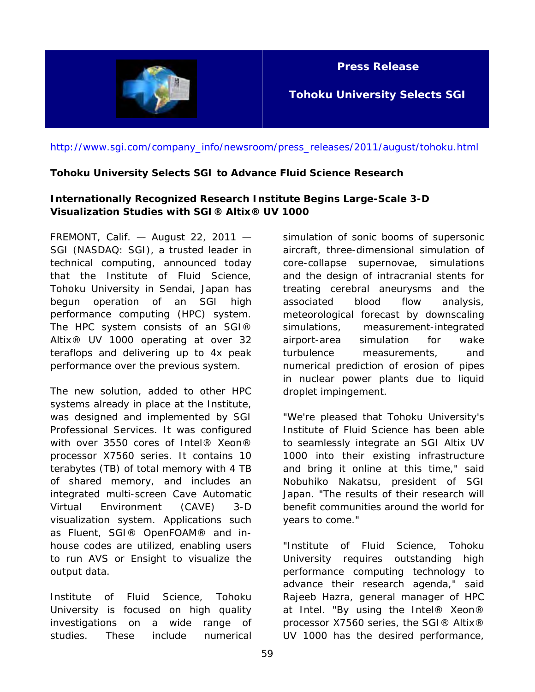

**Press Release** 

**Tohoku University Selects SGI** 

[http://www.sgi.com/company\\_info/newsroom/press\\_releases/2011/august/tohoku.html](http://www.sgi.com/company_info/newsroom/press_releases/2011/august/tohoku.html) 

#### **Tohoku University Selects SGI to Advance Fluid Science Research**

#### **Internationally Recognized Research Institute Begins Large-Scale 3-D Visualization Studies with SGI® Altix® UV 1000**

FREMONT, Calif. — August 22, 2011 — SGI (NASDAQ: SGI), a trusted leader in technical computing, announced today that the Institute of Fluid Science, Tohoku University in Sendai, Japan has begun operation of an SGI high performance computing (HPC) system. The HPC system consists of an SGI® Altix® UV 1000 operating at over 32 teraflops and delivering up to 4x peak performance over the previous system.

The new solution, added to other HPC systems already in place at the Institute, was designed and implemented by SGI Professional Services. It was configured with over 3550 cores of Intel® Xeon® processor X7560 series. It contains 10 terabytes (TB) of total memory with 4 TB of shared memory, and includes an integrated multi-screen Cave Automatic Virtual Environment (CAVE) 3-D visualization system. Applications such as Fluent, SGI® OpenFOAM® and inhouse codes are utilized, enabling users to run AVS or Ensight to visualize the output data.

Institute of Fluid Science, Tohoku University is focused on high quality investigations on a wide range of studies. These include numerical

simulation of sonic booms of supersonic aircraft, three-dimensional simulation of core-collapse supernovae, simulations and the design of intracranial stents for treating cerebral aneurysms and the associated blood flow analysis, meteorological forecast by downscaling simulations, measurement-integrated airport-area simulation for wake turbulence measurements, and numerical prediction of erosion of pipes in nuclear power plants due to liquid droplet impingement.

"We're pleased that Tohoku University's Institute of Fluid Science has been able to seamlessly integrate an SGI Altix UV 1000 into their existing infrastructure and bring it online at this time," said Nobuhiko Nakatsu, president of SGI Japan. "The results of their research will benefit communities around the world for years to come."

"Institute of Fluid Science, Tohoku University requires outstanding high performance computing technology to advance their research agenda," said Rajeeb Hazra, general manager of HPC at Intel. "By using the Intel® Xeon® processor X7560 series, the SGI® Altix® UV 1000 has the desired performance,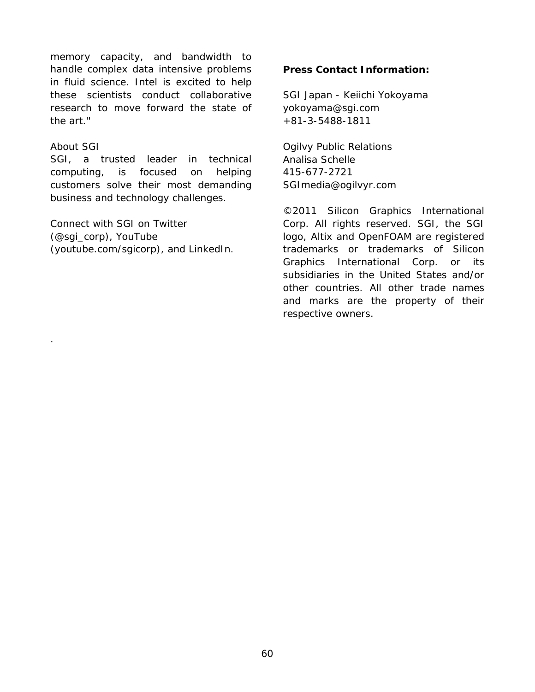memory capacity, and bandwidth to handle complex data intensive problems in fluid science. Intel is excited to help these scientists conduct collaborative research to move forward the state of the art."

#### About SGI

.

SGI, a trusted leader in technical computing, is focused on helping customers solve their most demanding business and technology challenges.

Connect with SGI on Twitter (@sgi\_corp), YouTube (youtube.com/sgicorp), and LinkedIn.

#### **Press Contact Information:**

SGI Japan - Keiichi Yokoyama yokoyama@sgi.com +81-3-5488-1811

Ogilvy Public Relations Analisa Schelle 415-677-2721 SGImedia@ogilvyr.com

©2011 Silicon Graphics International Corp. All rights reserved. SGI, the SGI logo, Altix and OpenFOAM are registered trademarks or trademarks of Silicon Graphics International Corp. or its subsidiaries in the United States and/or other countries. All other trade names and marks are the property of their respective owners.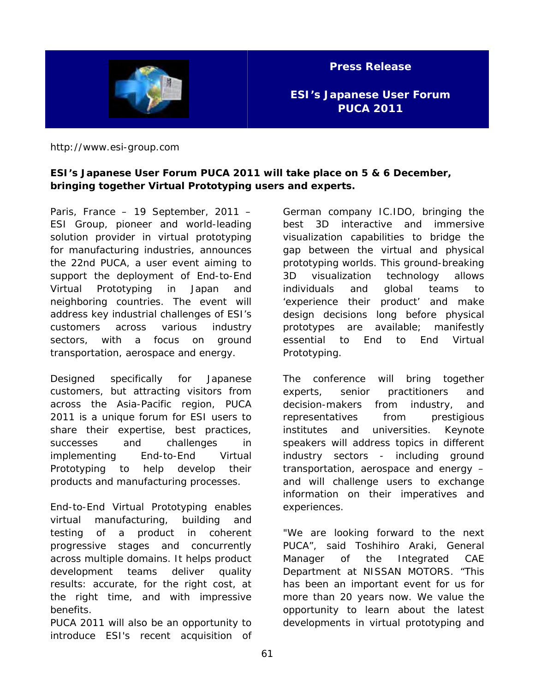

**Press Release** 

**ESI's Japanese User Forum PUCA 2011** 

http://www.esi-group.com

#### **ESI's Japanese User Forum PUCA 2011 will take place on 5 & 6 December, bringing together Virtual Prototyping users and experts.**

Paris, France – 19 September, 2011 – ESI Group, pioneer and world-leading solution provider in virtual prototyping for manufacturing industries, announces the 22nd PUCA, a user event aiming to support the deployment of End-to-End Virtual Prototyping in Japan and neighboring countries. The event will address key industrial challenges of ESI's customers across various industry sectors, with a focus on ground transportation, aerospace and energy.

Designed specifically for Japanese customers, but attracting visitors from across the Asia-Pacific region, PUCA 2011 is a unique forum for ESI users to share their expertise, best practices, successes and challenges in implementing End-to-End Virtual Prototyping to help develop their products and manufacturing processes.

End-to-End Virtual Prototyping enables virtual manufacturing, building and testing of a product in coherent progressive stages and concurrently across multiple domains. It helps product development teams deliver quality results: accurate, for the right cost, at the right time, and with impressive benefits.

PUCA 2011 will also be an opportunity to introduce ESI's recent acquisition of German company IC.IDO, bringing the best 3D interactive and immersive visualization capabilities to bridge the gap between the virtual and physical prototyping worlds. This ground-breaking 3D visualization technology allows individuals and global teams to 'experience their product' and make design decisions long before physical prototypes are available; manifestly essential to End to End Virtual Prototyping.

The conference will bring together experts, senior practitioners and decision-makers from industry, and representatives from prestigious institutes and universities. Keynote speakers will address topics in different industry sectors - including ground transportation, aerospace and energy – and will challenge users to exchange information on their imperatives and experiences.

"We are looking forward to the next PUCA", said Toshihiro Araki, General Manager of the Integrated CAE Department at NISSAN MOTORS. "This has been an important event for us for more than 20 years now. We value the opportunity to learn about the latest developments in virtual prototyping and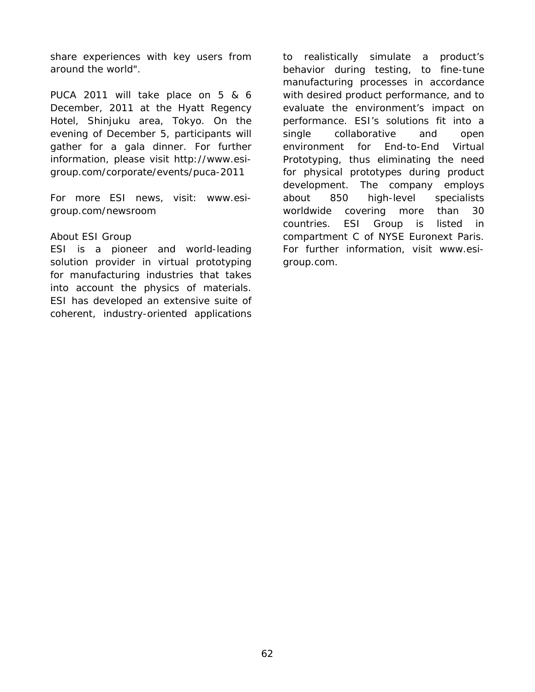share experiences with key users from around the world".

PUCA 2011 will take place on 5 & 6 December, 2011 at the Hyatt Regency Hotel, Shinjuku area, Tokyo. On the evening of December 5, participants will gather for a gala dinner. For further information, please visit http://www.esigroup.com/corporate/events/puca-2011

For more ESI news, visit: www.esigroup.com/newsroom

#### About ESI Group

ESI is a pioneer and world-leading solution provider in virtual prototyping for manufacturing industries that takes into account the physics of materials. ESI has developed an extensive suite of coherent, industry-oriented applications

to realistically simulate a product's behavior during testing, to fine-tune manufacturing processes in accordance with desired product performance, and to evaluate the environment's impact on performance. ESI's solutions fit into a single collaborative and open environment for End-to-End Virtual Prototyping, thus eliminating the need for physical prototypes during product development. The company employs about 850 high-level specialists worldwide covering more than 30 countries. ESI Group is listed in compartment C of NYSE Euronext Paris. For further information, visit www.esigroup.com.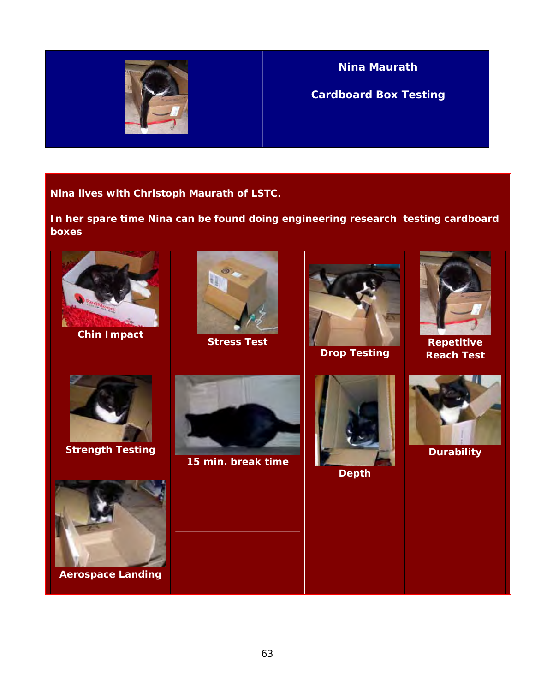

**Nina Maurath** 

**Cardboard Box Testing**

**Nina lives with Christoph Maurath of LSTC.** 

**In her spare time Nina can be found doing engineering research testing cardboard boxes** 

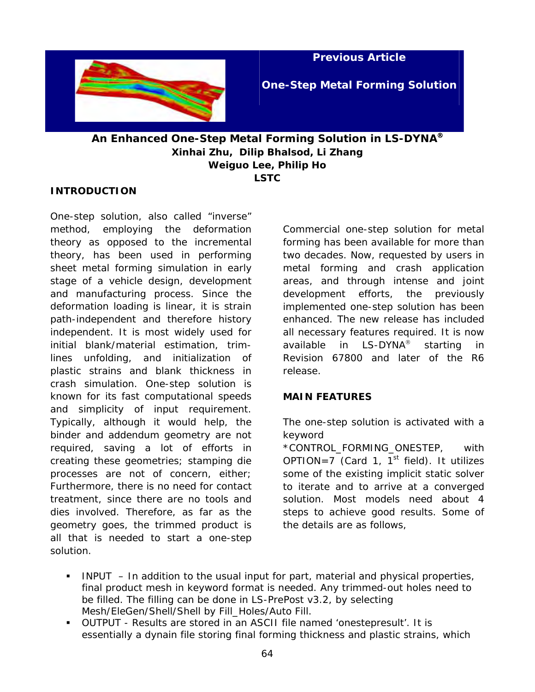

**Previous Article** 

**One-Step Metal Forming Solution**

### **An Enhanced One-Step Metal Forming Solution in LS-DYNA**® **Xinhai Zhu, Dilip Bhalsod, Li Zhang Weiguo Lee, Philip Ho LSTC**

#### **INTRODUCTION**

One-step solution, also called "inverse" method, employing the deformation theory as opposed to the incremental theory, has been used in performing sheet metal forming simulation in early stage of a vehicle design, development and manufacturing process. Since the deformation loading is linear, it is strain path-independent and therefore history independent. It is most widely used for initial blank/material estimation, trimlines unfolding, and initialization of plastic strains and blank thickness in crash simulation. One-step solution is known for its fast computational speeds and simplicity of input requirement. Typically, although it would help, the binder and addendum geometry are not required, saving a lot of efforts in creating these geometries; stamping die processes are not of concern, either; Furthermore, there is no need for contact treatment, since there are no tools and dies involved. Therefore, as far as the geometry goes, the trimmed product is all that is needed to start a one-step solution.

Commercial one-step solution for metal forming has been available for more than two decades. Now, requested by users in metal forming and crash application areas, and through intense and joint development efforts, the previously implemented one-step solution has been enhanced. The new release has included all necessary features required. It is now available in LS-DYNA<sup>®</sup> starting in Revision 67800 and later of the R6 release.

#### **MAIN FEATURES**

The one-step solution is activated with a keyword

\*CONTROL\_FORMING\_ONESTEP, with OPTION=7 (Card 1,  $1^{st}$  field). It utilizes some of the existing implicit static solver to iterate and to arrive at a converged solution. Most models need about 4 steps to achieve good results. Some of the details are as follows,

- INPUT In addition to the usual input for part, material and physical properties, final product mesh in keyword format is needed. Any trimmed-out holes need to be filled. The filling can be done in LS-PrePost v3.2, by selecting *Mesh/EleGen/Shell/Shell by Fill\_Holes/Auto Fill*.
- OUTPUT Results are stored in an ASCII file named 'onestepresult'. It is essentially a dynain file storing final forming thickness and plastic strains, which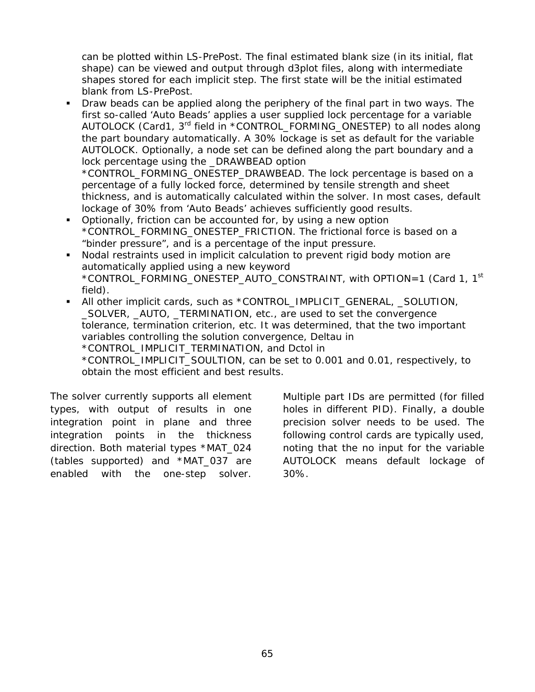can be plotted within LS-PrePost. The final estimated blank size (in its initial, flat shape) can be viewed and output through d3plot files, along with intermediate shapes stored for each implicit step. The first state will be the initial estimated blank from LS-PrePost.

 Draw beads can be applied along the periphery of the final part in two ways. The first so-called 'Auto Beads' applies a user supplied lock percentage for a variable AUTOLOCK (Card1, 3<sup>rd</sup> field in \*CONTROL\_FORMING\_ONESTEP) to all nodes along the part boundary automatically. A 30% lockage is set as default for the variable *AUTOLOCK*. Optionally, a node set can be defined along the part boundary and a lock percentage using the \_DRAWBEAD option \*CONTROL\_FORMING\_ONESTEP\_DRAWBEAD. The lock percentage is based on a percentage of a fully locked force, determined by tensile strength and sheet

thickness, and is automatically calculated within the solver. In most cases, default lockage of 30% from 'Auto Beads' achieves sufficiently good results.

- Optionally, friction can be accounted for, by using a new option \*CONTROL\_FORMING\_ONESTEP\_FRICTION. The frictional force is based on a "binder pressure", and is a percentage of the input pressure.
- Nodal restraints used in implicit calculation to prevent rigid body motion are automatically applied using a new keyword \*CONTROL\_FORMING\_ONESTEP\_AUTO\_CONSTRAINT, with OPTION=1 (Card 1, 1<sup>st</sup>) field).
- All other implicit cards, such as \*CONTROL\_IMPLICIT\_GENERAL, \_SOLUTION, \_SOLVER, \_AUTO, \_TERMINATION, etc., are used to set the convergence tolerance, termination criterion, etc. It was determined, that the two important variables controlling the solution convergence, Deltau in \*CONTROL\_IMPLICIT\_TERMINATION, and Dctol in

\*CONTROL\_IMPLICIT\_SOULTION, can be set to 0.001 and 0.01, respectively, to obtain the most efficient and best results.

The solver currently supports all element types, with output of results in one integration point in plane and three integration points in the thickness direction. Both material types \*MAT\_024 (tables supported) and \*MAT\_037 are enabled with the one-step solver.

Multiple part IDs are permitted (for filled holes in different PID). Finally, a double precision solver needs to be used. The following control cards are typically used, noting that the no input for the variable AUTOLOCK means default lockage of 30%.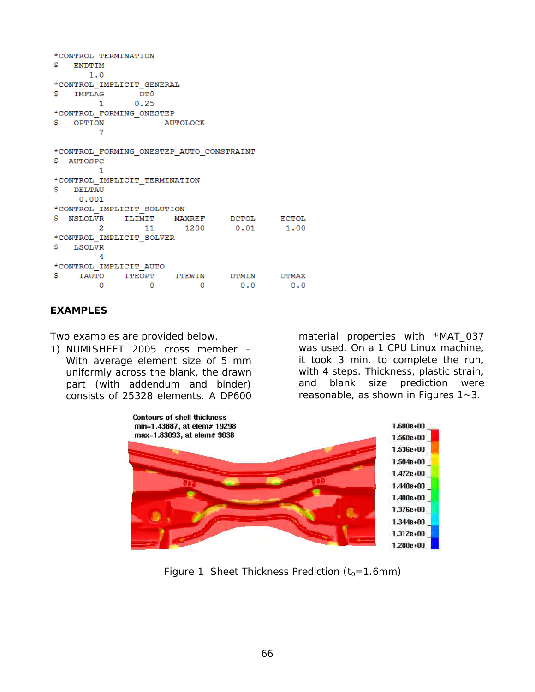```
*CONTROL TERMINATION
$ ENDTIM
     1.0*CONTROL IMPLICIT GENERAL
$ IMFLAG DTO
      \mathbf{1}0.25*CONTROL FORMING ONESTEP
$ OPTION
          AUTOLOCK
        \overline{7}*CONTROL FORMING ONESTEP AUTO CONSTRAINT
$ AUTOSPC
        1
*CONTROL IMPLICIT TERMINATION
S.
 DELTAU
    0.001*CONTROL IMPLICIT SOLUTION
$ NSLOLVR ILIMIT MAXREF DCTOL
                                       ECTOL
    \sim 2
            111200
                               0.011.00
*CONTROL IMPLICIT SOLVER
$ LSOLVR
       \overline{4}*CONTROL IMPLICIT AUTO
$ IAUTO ITEOPT ITEWIN
                              DTMIN
                                         DTMAX
                     \overline{0}\sim 0
      \sim 0
                               0.00.0
```
#### **EXAMPLES**

Two examples are provided below.

1) NUMISHEET 2005 cross member – With average element size of 5 mm uniformly across the blank, the drawn part (with addendum and binder) consists of 25328 elements. A DP600

material properties with \*MAT\_037 was used. On a 1 CPU Linux machine, it took 3 min. to complete the run, with 4 steps. Thickness, plastic strain, and blank size prediction were reasonable, as shown in *Figures 1~3*.



*Figure 1 Sheet Thickness Prediction*  $(t_0 = 1.6$ *mm)*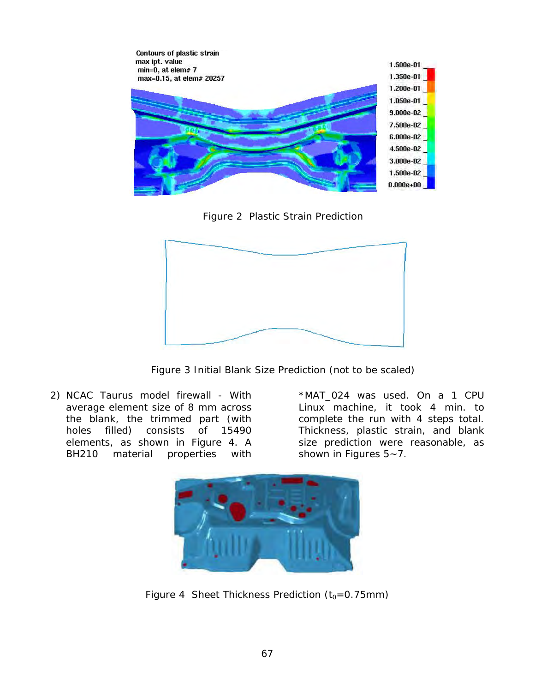

*Figure 2 Plastic Strain Prediction* 



*Figure 3 Initial Blank Size Prediction (not to be scaled)* 

*2)* NCAC Taurus model firewall - With average element size of 8 mm across the blank, the trimmed part (with holes filled) consists of 15490 elements, as shown in *Figure 4*. A BH210 material properties with

\*MAT\_024 was used. On a 1 CPU Linux machine, it took 4 min. to complete the run with 4 steps total. Thickness, plastic strain, and blank size prediction were reasonable, as shown in *Figures 5~7*.



*Figure 4 Sheet Thickness Prediction*  $(t_0=0.75$ *mm)*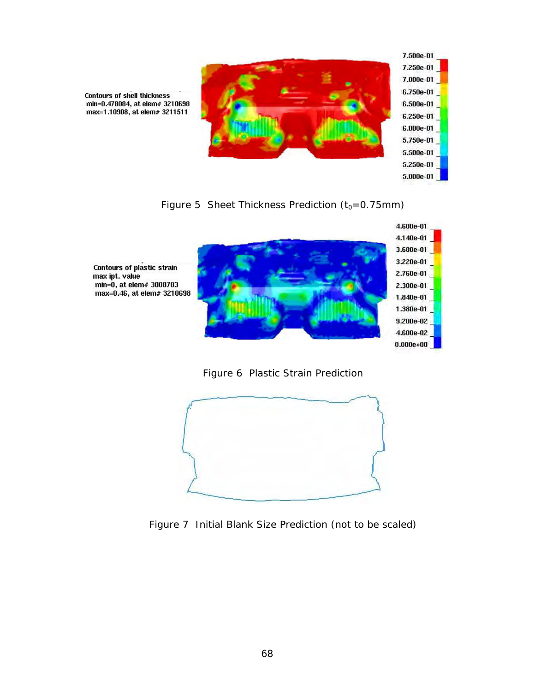

**Contours of shell thickness** min=0.478084, at elem# 3210698 max=1.10908, at elem# 3211511

*Figure 5 Sheet Thickness Prediction (t<sub>0</sub>=0.75mm)* 



*Figure 6 Plastic Strain Prediction* 



*Figure 7 Initial Blank Size Prediction (not to be scaled)*